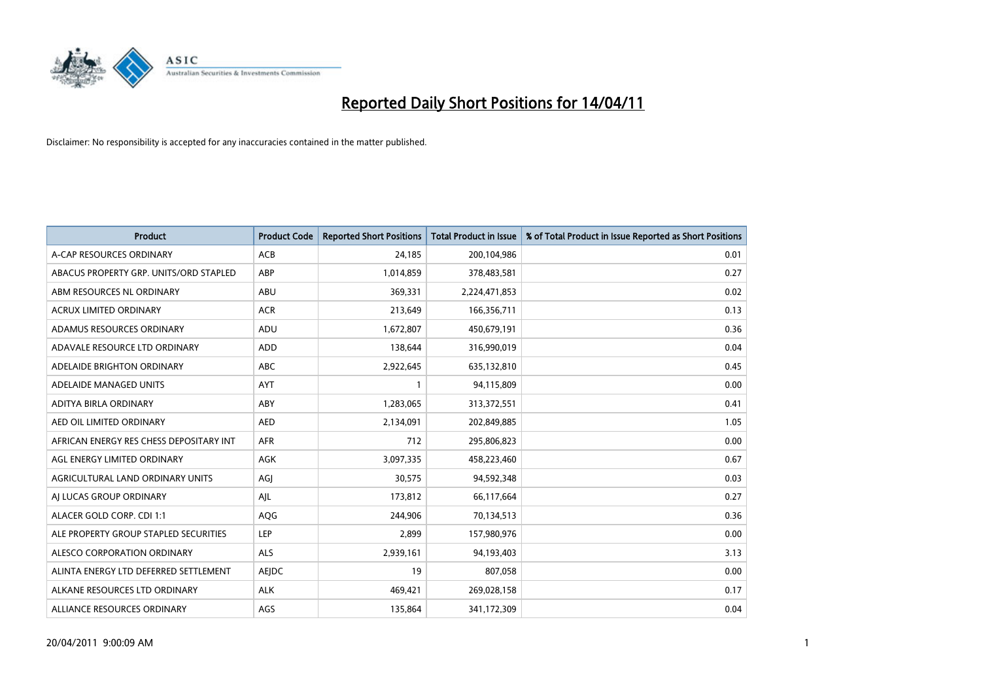

| <b>Product</b>                          | <b>Product Code</b> | <b>Reported Short Positions</b> | Total Product in Issue | % of Total Product in Issue Reported as Short Positions |
|-----------------------------------------|---------------------|---------------------------------|------------------------|---------------------------------------------------------|
| A-CAP RESOURCES ORDINARY                | <b>ACB</b>          | 24,185                          | 200,104,986            | 0.01                                                    |
| ABACUS PROPERTY GRP. UNITS/ORD STAPLED  | ABP                 | 1,014,859                       | 378,483,581            | 0.27                                                    |
| ABM RESOURCES NL ORDINARY               | ABU                 | 369,331                         | 2,224,471,853          | 0.02                                                    |
| ACRUX LIMITED ORDINARY                  | <b>ACR</b>          | 213,649                         | 166,356,711            | 0.13                                                    |
| ADAMUS RESOURCES ORDINARY               | ADU                 | 1,672,807                       | 450,679,191            | 0.36                                                    |
| ADAVALE RESOURCE LTD ORDINARY           | <b>ADD</b>          | 138,644                         | 316,990,019            | 0.04                                                    |
| ADELAIDE BRIGHTON ORDINARY              | <b>ABC</b>          | 2,922,645                       | 635,132,810            | 0.45                                                    |
| ADELAIDE MANAGED UNITS                  | <b>AYT</b>          |                                 | 94,115,809             | 0.00                                                    |
| ADITYA BIRLA ORDINARY                   | ABY                 | 1,283,065                       | 313,372,551            | 0.41                                                    |
| AED OIL LIMITED ORDINARY                | <b>AED</b>          | 2,134,091                       | 202,849,885            | 1.05                                                    |
| AFRICAN ENERGY RES CHESS DEPOSITARY INT | <b>AFR</b>          | 712                             | 295,806,823            | 0.00                                                    |
| AGL ENERGY LIMITED ORDINARY             | <b>AGK</b>          | 3,097,335                       | 458,223,460            | 0.67                                                    |
| AGRICULTURAL LAND ORDINARY UNITS        | AGI                 | 30,575                          | 94,592,348             | 0.03                                                    |
| AI LUCAS GROUP ORDINARY                 | AJL                 | 173,812                         | 66,117,664             | 0.27                                                    |
| ALACER GOLD CORP. CDI 1:1               | AQG                 | 244,906                         | 70,134,513             | 0.36                                                    |
| ALE PROPERTY GROUP STAPLED SECURITIES   | <b>LEP</b>          | 2,899                           | 157,980,976            | 0.00                                                    |
| ALESCO CORPORATION ORDINARY             | ALS                 | 2,939,161                       | 94,193,403             | 3.13                                                    |
| ALINTA ENERGY LTD DEFERRED SETTLEMENT   | AEJDC               | 19                              | 807,058                | 0.00                                                    |
| ALKANE RESOURCES LTD ORDINARY           | <b>ALK</b>          | 469,421                         | 269,028,158            | 0.17                                                    |
| ALLIANCE RESOURCES ORDINARY             | AGS                 | 135,864                         | 341,172,309            | 0.04                                                    |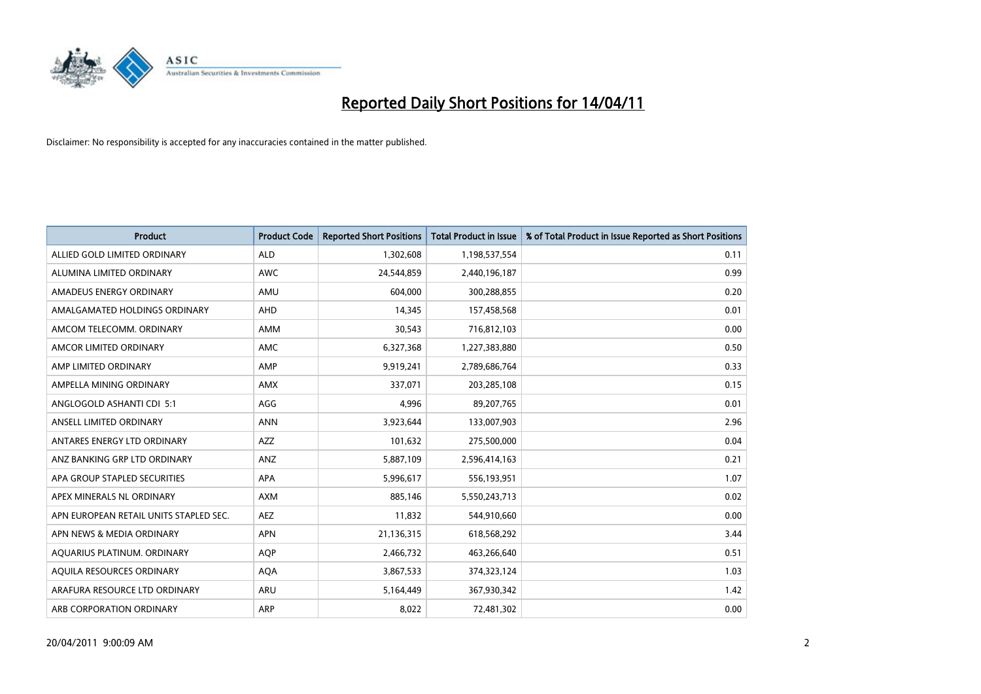

| <b>Product</b>                         | <b>Product Code</b> | <b>Reported Short Positions</b> | <b>Total Product in Issue</b> | % of Total Product in Issue Reported as Short Positions |
|----------------------------------------|---------------------|---------------------------------|-------------------------------|---------------------------------------------------------|
| ALLIED GOLD LIMITED ORDINARY           | <b>ALD</b>          | 1,302,608                       | 1,198,537,554                 | 0.11                                                    |
| ALUMINA LIMITED ORDINARY               | <b>AWC</b>          | 24,544,859                      | 2,440,196,187                 | 0.99                                                    |
| AMADEUS ENERGY ORDINARY                | AMU                 | 604,000                         | 300,288,855                   | 0.20                                                    |
| AMALGAMATED HOLDINGS ORDINARY          | <b>AHD</b>          | 14,345                          | 157,458,568                   | 0.01                                                    |
| AMCOM TELECOMM, ORDINARY               | <b>AMM</b>          | 30,543                          | 716,812,103                   | 0.00                                                    |
| AMCOR LIMITED ORDINARY                 | <b>AMC</b>          | 6,327,368                       | 1,227,383,880                 | 0.50                                                    |
| AMP LIMITED ORDINARY                   | AMP                 | 9,919,241                       | 2,789,686,764                 | 0.33                                                    |
| AMPELLA MINING ORDINARY                | <b>AMX</b>          | 337,071                         | 203,285,108                   | 0.15                                                    |
| ANGLOGOLD ASHANTI CDI 5:1              | AGG                 | 4,996                           | 89,207,765                    | 0.01                                                    |
| ANSELL LIMITED ORDINARY                | <b>ANN</b>          | 3,923,644                       | 133,007,903                   | 2.96                                                    |
| ANTARES ENERGY LTD ORDINARY            | <b>AZZ</b>          | 101,632                         | 275,500,000                   | 0.04                                                    |
| ANZ BANKING GRP LTD ORDINARY           | ANZ                 | 5,887,109                       | 2,596,414,163                 | 0.21                                                    |
| APA GROUP STAPLED SECURITIES           | <b>APA</b>          | 5,996,617                       | 556,193,951                   | 1.07                                                    |
| APEX MINERALS NL ORDINARY              | <b>AXM</b>          | 885.146                         | 5,550,243,713                 | 0.02                                                    |
| APN EUROPEAN RETAIL UNITS STAPLED SEC. | <b>AEZ</b>          | 11,832                          | 544,910,660                   | 0.00                                                    |
| APN NEWS & MEDIA ORDINARY              | <b>APN</b>          | 21,136,315                      | 618,568,292                   | 3.44                                                    |
| AQUARIUS PLATINUM. ORDINARY            | <b>AOP</b>          | 2,466,732                       | 463,266,640                   | 0.51                                                    |
| AQUILA RESOURCES ORDINARY              | <b>AQA</b>          | 3,867,533                       | 374,323,124                   | 1.03                                                    |
| ARAFURA RESOURCE LTD ORDINARY          | <b>ARU</b>          | 5,164,449                       | 367,930,342                   | 1.42                                                    |
| ARB CORPORATION ORDINARY               | <b>ARP</b>          | 8,022                           | 72,481,302                    | 0.00                                                    |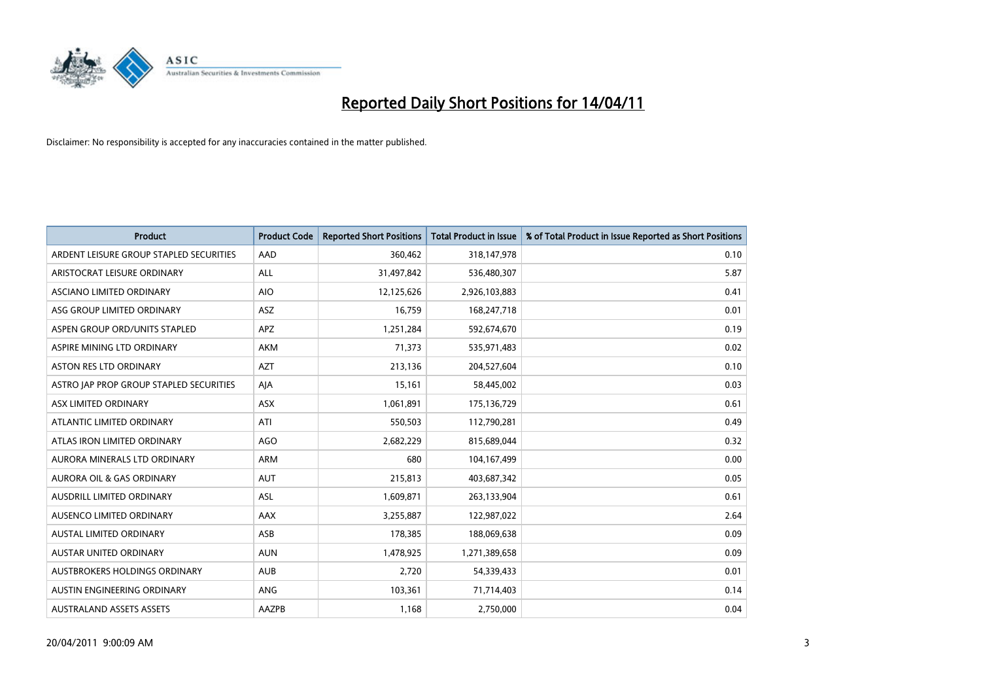

| <b>Product</b>                          | <b>Product Code</b> | <b>Reported Short Positions</b> | <b>Total Product in Issue</b> | % of Total Product in Issue Reported as Short Positions |
|-----------------------------------------|---------------------|---------------------------------|-------------------------------|---------------------------------------------------------|
| ARDENT LEISURE GROUP STAPLED SECURITIES | AAD                 | 360,462                         | 318,147,978                   | 0.10                                                    |
| ARISTOCRAT LEISURE ORDINARY             | ALL                 | 31,497,842                      | 536,480,307                   | 5.87                                                    |
| ASCIANO LIMITED ORDINARY                | <b>AIO</b>          | 12,125,626                      | 2,926,103,883                 | 0.41                                                    |
| ASG GROUP LIMITED ORDINARY              | <b>ASZ</b>          | 16,759                          | 168,247,718                   | 0.01                                                    |
| ASPEN GROUP ORD/UNITS STAPLED           | <b>APZ</b>          | 1,251,284                       | 592,674,670                   | 0.19                                                    |
| ASPIRE MINING LTD ORDINARY              | <b>AKM</b>          | 71,373                          | 535,971,483                   | 0.02                                                    |
| ASTON RES LTD ORDINARY                  | <b>AZT</b>          | 213,136                         | 204,527,604                   | 0.10                                                    |
| ASTRO JAP PROP GROUP STAPLED SECURITIES | AJA                 | 15,161                          | 58,445,002                    | 0.03                                                    |
| ASX LIMITED ORDINARY                    | <b>ASX</b>          | 1,061,891                       | 175,136,729                   | 0.61                                                    |
| ATLANTIC LIMITED ORDINARY               | ATI                 | 550,503                         | 112,790,281                   | 0.49                                                    |
| ATLAS IRON LIMITED ORDINARY             | <b>AGO</b>          | 2,682,229                       | 815,689,044                   | 0.32                                                    |
| AURORA MINERALS LTD ORDINARY            | ARM                 | 680                             | 104,167,499                   | 0.00                                                    |
| AURORA OIL & GAS ORDINARY               | <b>AUT</b>          | 215,813                         | 403,687,342                   | 0.05                                                    |
| <b>AUSDRILL LIMITED ORDINARY</b>        | <b>ASL</b>          | 1,609,871                       | 263,133,904                   | 0.61                                                    |
| AUSENCO LIMITED ORDINARY                | AAX                 | 3,255,887                       | 122,987,022                   | 2.64                                                    |
| <b>AUSTAL LIMITED ORDINARY</b>          | ASB                 | 178,385                         | 188,069,638                   | 0.09                                                    |
| AUSTAR UNITED ORDINARY                  | <b>AUN</b>          | 1,478,925                       | 1,271,389,658                 | 0.09                                                    |
| <b>AUSTBROKERS HOLDINGS ORDINARY</b>    | <b>AUB</b>          | 2,720                           | 54,339,433                    | 0.01                                                    |
| AUSTIN ENGINEERING ORDINARY             | <b>ANG</b>          | 103,361                         | 71,714,403                    | 0.14                                                    |
| <b>AUSTRALAND ASSETS ASSETS</b>         | AAZPB               | 1,168                           | 2,750,000                     | 0.04                                                    |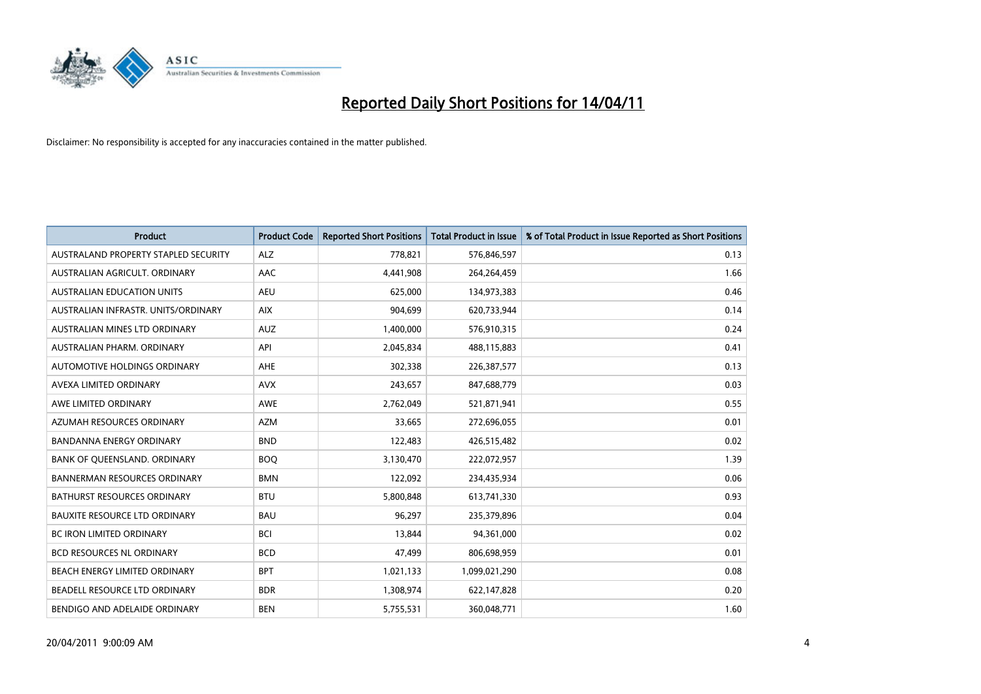

| <b>Product</b>                       | <b>Product Code</b> | <b>Reported Short Positions</b> | <b>Total Product in Issue</b> | % of Total Product in Issue Reported as Short Positions |
|--------------------------------------|---------------------|---------------------------------|-------------------------------|---------------------------------------------------------|
| AUSTRALAND PROPERTY STAPLED SECURITY | <b>ALZ</b>          | 778,821                         | 576,846,597                   | 0.13                                                    |
| AUSTRALIAN AGRICULT. ORDINARY        | <b>AAC</b>          | 4,441,908                       | 264,264,459                   | 1.66                                                    |
| <b>AUSTRALIAN EDUCATION UNITS</b>    | <b>AEU</b>          | 625.000                         | 134,973,383                   | 0.46                                                    |
| AUSTRALIAN INFRASTR. UNITS/ORDINARY  | <b>AIX</b>          | 904,699                         | 620,733,944                   | 0.14                                                    |
| AUSTRALIAN MINES LTD ORDINARY        | <b>AUZ</b>          | 1,400,000                       | 576,910,315                   | 0.24                                                    |
| AUSTRALIAN PHARM, ORDINARY           | API                 | 2,045,834                       | 488,115,883                   | 0.41                                                    |
| AUTOMOTIVE HOLDINGS ORDINARY         | <b>AHE</b>          | 302,338                         | 226,387,577                   | 0.13                                                    |
| AVEXA LIMITED ORDINARY               | <b>AVX</b>          | 243,657                         | 847,688,779                   | 0.03                                                    |
| AWE LIMITED ORDINARY                 | <b>AWE</b>          | 2,762,049                       | 521,871,941                   | 0.55                                                    |
| AZUMAH RESOURCES ORDINARY            | <b>AZM</b>          | 33,665                          | 272,696,055                   | 0.01                                                    |
| BANDANNA ENERGY ORDINARY             | <b>BND</b>          | 122,483                         | 426,515,482                   | 0.02                                                    |
| BANK OF QUEENSLAND. ORDINARY         | <b>BOO</b>          | 3,130,470                       | 222,072,957                   | 1.39                                                    |
| <b>BANNERMAN RESOURCES ORDINARY</b>  | <b>BMN</b>          | 122,092                         | 234,435,934                   | 0.06                                                    |
| BATHURST RESOURCES ORDINARY          | <b>BTU</b>          | 5,800,848                       | 613,741,330                   | 0.93                                                    |
| <b>BAUXITE RESOURCE LTD ORDINARY</b> | <b>BAU</b>          | 96,297                          | 235,379,896                   | 0.04                                                    |
| BC IRON LIMITED ORDINARY             | <b>BCI</b>          | 13,844                          | 94,361,000                    | 0.02                                                    |
| BCD RESOURCES NL ORDINARY            | <b>BCD</b>          | 47,499                          | 806,698,959                   | 0.01                                                    |
| BEACH ENERGY LIMITED ORDINARY        | <b>BPT</b>          | 1,021,133                       | 1,099,021,290                 | 0.08                                                    |
| BEADELL RESOURCE LTD ORDINARY        | <b>BDR</b>          | 1,308,974                       | 622,147,828                   | 0.20                                                    |
| BENDIGO AND ADELAIDE ORDINARY        | <b>BEN</b>          | 5,755,531                       | 360,048,771                   | 1.60                                                    |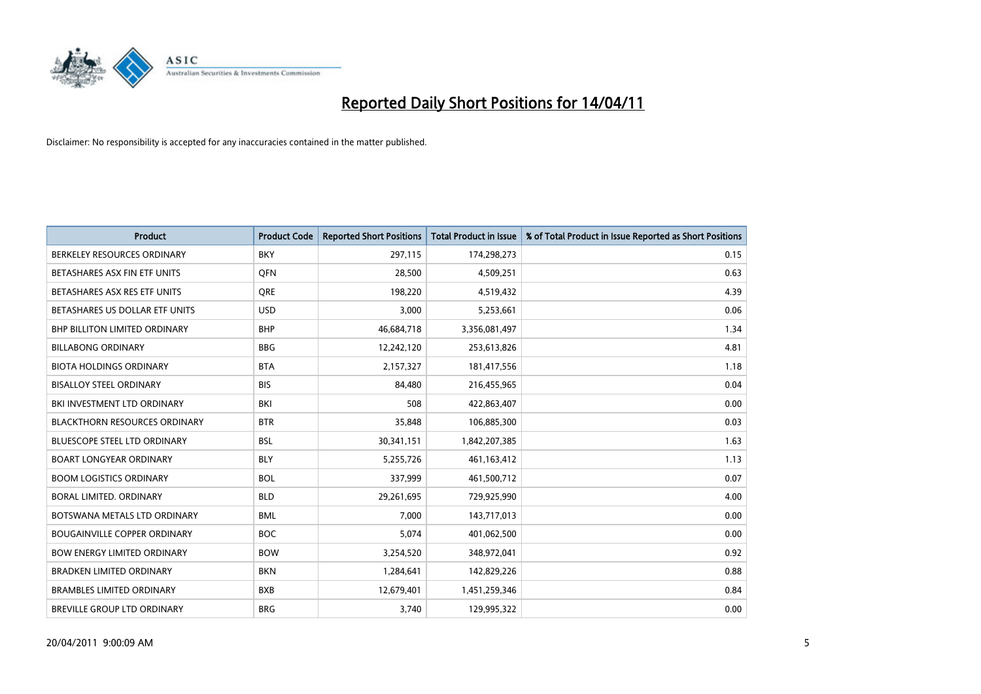

| <b>Product</b>                       | <b>Product Code</b> | <b>Reported Short Positions</b> | <b>Total Product in Issue</b> | % of Total Product in Issue Reported as Short Positions |
|--------------------------------------|---------------------|---------------------------------|-------------------------------|---------------------------------------------------------|
| BERKELEY RESOURCES ORDINARY          | <b>BKY</b>          | 297,115                         | 174,298,273                   | 0.15                                                    |
| BETASHARES ASX FIN ETF UNITS         | <b>OFN</b>          | 28,500                          | 4,509,251                     | 0.63                                                    |
| BETASHARES ASX RES ETF UNITS         | <b>ORE</b>          | 198,220                         | 4,519,432                     | 4.39                                                    |
| BETASHARES US DOLLAR ETF UNITS       | <b>USD</b>          | 3,000                           | 5,253,661                     | 0.06                                                    |
| BHP BILLITON LIMITED ORDINARY        | <b>BHP</b>          | 46,684,718                      | 3,356,081,497                 | 1.34                                                    |
| <b>BILLABONG ORDINARY</b>            | <b>BBG</b>          | 12,242,120                      | 253,613,826                   | 4.81                                                    |
| <b>BIOTA HOLDINGS ORDINARY</b>       | <b>BTA</b>          | 2,157,327                       | 181,417,556                   | 1.18                                                    |
| <b>BISALLOY STEEL ORDINARY</b>       | <b>BIS</b>          | 84,480                          | 216,455,965                   | 0.04                                                    |
| BKI INVESTMENT LTD ORDINARY          | BKI                 | 508                             | 422,863,407                   | 0.00                                                    |
| <b>BLACKTHORN RESOURCES ORDINARY</b> | <b>BTR</b>          | 35,848                          | 106,885,300                   | 0.03                                                    |
| BLUESCOPE STEEL LTD ORDINARY         | <b>BSL</b>          | 30,341,151                      | 1,842,207,385                 | 1.63                                                    |
| <b>BOART LONGYEAR ORDINARY</b>       | <b>BLY</b>          | 5,255,726                       | 461, 163, 412                 | 1.13                                                    |
| <b>BOOM LOGISTICS ORDINARY</b>       | <b>BOL</b>          | 337,999                         | 461,500,712                   | 0.07                                                    |
| <b>BORAL LIMITED, ORDINARY</b>       | <b>BLD</b>          | 29,261,695                      | 729,925,990                   | 4.00                                                    |
| BOTSWANA METALS LTD ORDINARY         | <b>BML</b>          | 7,000                           | 143,717,013                   | 0.00                                                    |
| <b>BOUGAINVILLE COPPER ORDINARY</b>  | <b>BOC</b>          | 5,074                           | 401,062,500                   | 0.00                                                    |
| <b>BOW ENERGY LIMITED ORDINARY</b>   | <b>BOW</b>          | 3,254,520                       | 348,972,041                   | 0.92                                                    |
| <b>BRADKEN LIMITED ORDINARY</b>      | <b>BKN</b>          | 1,284,641                       | 142,829,226                   | 0.88                                                    |
| <b>BRAMBLES LIMITED ORDINARY</b>     | <b>BXB</b>          | 12,679,401                      | 1,451,259,346                 | 0.84                                                    |
| <b>BREVILLE GROUP LTD ORDINARY</b>   | <b>BRG</b>          | 3.740                           | 129,995,322                   | 0.00                                                    |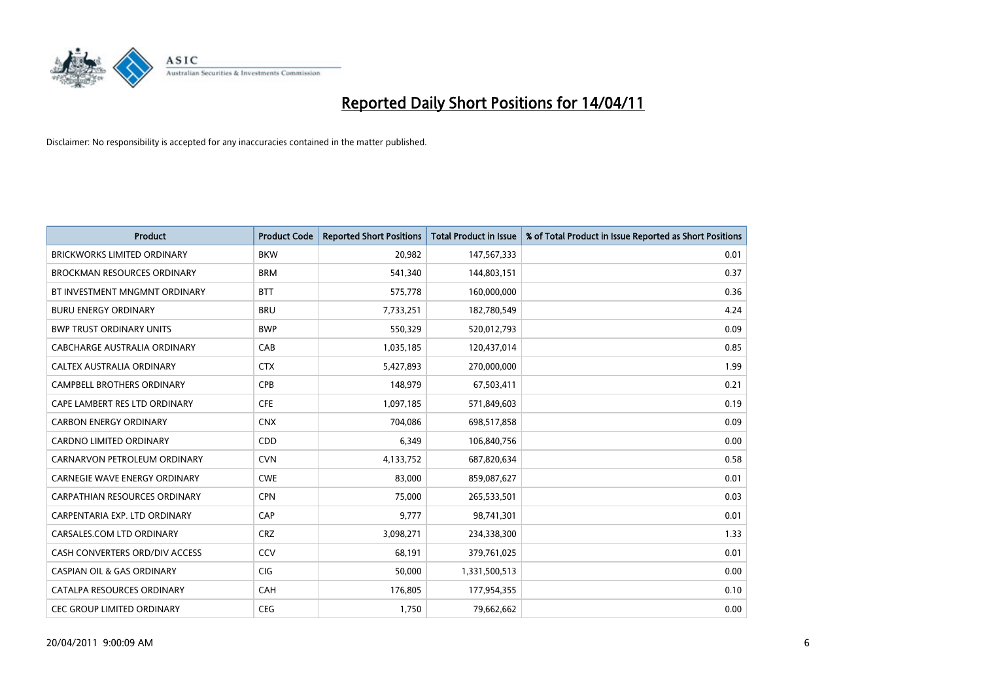

| <b>Product</b>                        | <b>Product Code</b> | <b>Reported Short Positions</b> | <b>Total Product in Issue</b> | % of Total Product in Issue Reported as Short Positions |
|---------------------------------------|---------------------|---------------------------------|-------------------------------|---------------------------------------------------------|
| <b>BRICKWORKS LIMITED ORDINARY</b>    | <b>BKW</b>          | 20,982                          | 147,567,333                   | 0.01                                                    |
| BROCKMAN RESOURCES ORDINARY           | <b>BRM</b>          | 541,340                         | 144,803,151                   | 0.37                                                    |
| BT INVESTMENT MNGMNT ORDINARY         | <b>BTT</b>          | 575,778                         | 160,000,000                   | 0.36                                                    |
| <b>BURU ENERGY ORDINARY</b>           | <b>BRU</b>          | 7,733,251                       | 182,780,549                   | 4.24                                                    |
| <b>BWP TRUST ORDINARY UNITS</b>       | <b>BWP</b>          | 550,329                         | 520,012,793                   | 0.09                                                    |
| CABCHARGE AUSTRALIA ORDINARY          | CAB                 | 1,035,185                       | 120,437,014                   | 0.85                                                    |
| CALTEX AUSTRALIA ORDINARY             | <b>CTX</b>          | 5,427,893                       | 270,000,000                   | 1.99                                                    |
| CAMPBELL BROTHERS ORDINARY            | <b>CPB</b>          | 148,979                         | 67,503,411                    | 0.21                                                    |
| CAPE LAMBERT RES LTD ORDINARY         | <b>CFE</b>          | 1,097,185                       | 571,849,603                   | 0.19                                                    |
| <b>CARBON ENERGY ORDINARY</b>         | <b>CNX</b>          | 704,086                         | 698,517,858                   | 0.09                                                    |
| CARDNO LIMITED ORDINARY               | CDD                 | 6,349                           | 106,840,756                   | 0.00                                                    |
| CARNARVON PETROLEUM ORDINARY          | <b>CVN</b>          | 4,133,752                       | 687,820,634                   | 0.58                                                    |
| CARNEGIE WAVE ENERGY ORDINARY         | <b>CWE</b>          | 83,000                          | 859,087,627                   | 0.01                                                    |
| <b>CARPATHIAN RESOURCES ORDINARY</b>  | <b>CPN</b>          | 75,000                          | 265,533,501                   | 0.03                                                    |
| CARPENTARIA EXP. LTD ORDINARY         | CAP                 | 9,777                           | 98,741,301                    | 0.01                                                    |
| CARSALES.COM LTD ORDINARY             | <b>CRZ</b>          | 3,098,271                       | 234,338,300                   | 1.33                                                    |
| CASH CONVERTERS ORD/DIV ACCESS        | CCV                 | 68,191                          | 379,761,025                   | 0.01                                                    |
| <b>CASPIAN OIL &amp; GAS ORDINARY</b> | CIG                 | 50,000                          | 1,331,500,513                 | 0.00                                                    |
| CATALPA RESOURCES ORDINARY            | CAH                 | 176,805                         | 177,954,355                   | 0.10                                                    |
| CEC GROUP LIMITED ORDINARY            | <b>CEG</b>          | 1,750                           | 79,662,662                    | 0.00                                                    |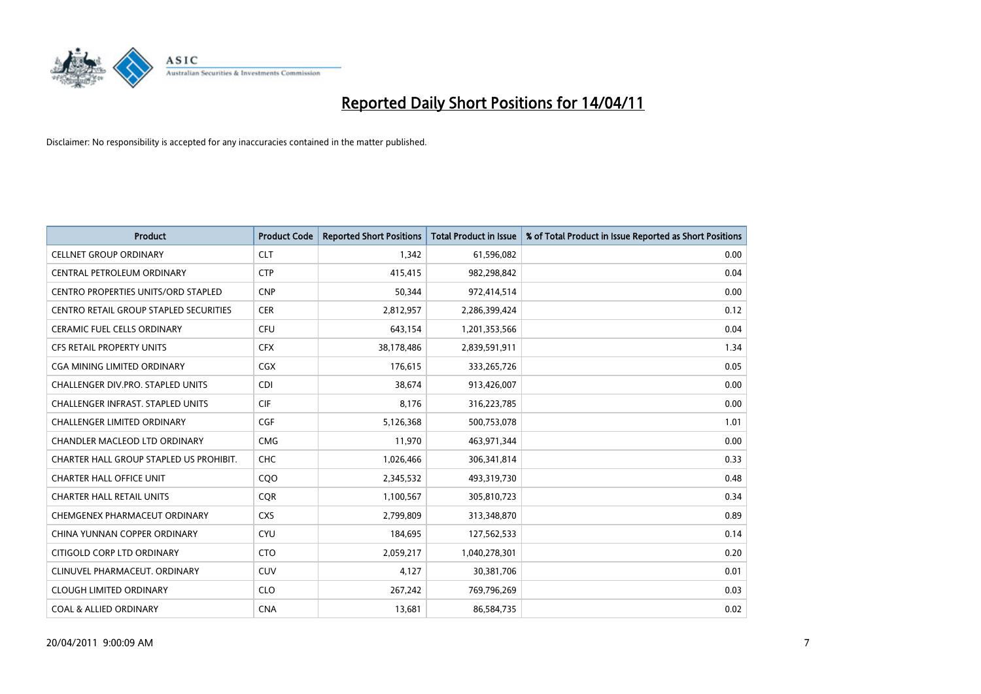

| <b>Product</b>                             | <b>Product Code</b> | <b>Reported Short Positions</b> | <b>Total Product in Issue</b> | % of Total Product in Issue Reported as Short Positions |
|--------------------------------------------|---------------------|---------------------------------|-------------------------------|---------------------------------------------------------|
| <b>CELLNET GROUP ORDINARY</b>              | <b>CLT</b>          | 1.342                           | 61,596,082                    | 0.00                                                    |
| CENTRAL PETROLEUM ORDINARY                 | <b>CTP</b>          | 415,415                         | 982,298,842                   | 0.04                                                    |
| <b>CENTRO PROPERTIES UNITS/ORD STAPLED</b> | <b>CNP</b>          | 50.344                          | 972,414,514                   | 0.00                                                    |
| CENTRO RETAIL GROUP STAPLED SECURITIES     | <b>CER</b>          | 2,812,957                       | 2,286,399,424                 | 0.12                                                    |
| <b>CERAMIC FUEL CELLS ORDINARY</b>         | <b>CFU</b>          | 643,154                         | 1,201,353,566                 | 0.04                                                    |
| <b>CFS RETAIL PROPERTY UNITS</b>           | <b>CFX</b>          | 38,178,486                      | 2,839,591,911                 | 1.34                                                    |
| <b>CGA MINING LIMITED ORDINARY</b>         | <b>CGX</b>          | 176,615                         | 333,265,726                   | 0.05                                                    |
| CHALLENGER DIV.PRO. STAPLED UNITS          | <b>CDI</b>          | 38,674                          | 913,426,007                   | 0.00                                                    |
| <b>CHALLENGER INFRAST, STAPLED UNITS</b>   | <b>CIF</b>          | 8.176                           | 316,223,785                   | 0.00                                                    |
| <b>CHALLENGER LIMITED ORDINARY</b>         | CGF                 | 5,126,368                       | 500,753,078                   | 1.01                                                    |
| CHANDLER MACLEOD LTD ORDINARY              | <b>CMG</b>          | 11,970                          | 463,971,344                   | 0.00                                                    |
| CHARTER HALL GROUP STAPLED US PROHIBIT.    | CHC                 | 1,026,466                       | 306,341,814                   | 0.33                                                    |
| <b>CHARTER HALL OFFICE UNIT</b>            | COO                 | 2,345,532                       | 493,319,730                   | 0.48                                                    |
| <b>CHARTER HALL RETAIL UNITS</b>           | <b>COR</b>          | 1,100,567                       | 305,810,723                   | 0.34                                                    |
| CHEMGENEX PHARMACEUT ORDINARY              | <b>CXS</b>          | 2,799,809                       | 313,348,870                   | 0.89                                                    |
| CHINA YUNNAN COPPER ORDINARY               | <b>CYU</b>          | 184,695                         | 127,562,533                   | 0.14                                                    |
| CITIGOLD CORP LTD ORDINARY                 | <b>CTO</b>          | 2,059,217                       | 1,040,278,301                 | 0.20                                                    |
| CLINUVEL PHARMACEUT. ORDINARY              | <b>CUV</b>          | 4,127                           | 30,381,706                    | 0.01                                                    |
| <b>CLOUGH LIMITED ORDINARY</b>             | <b>CLO</b>          | 267,242                         | 769,796,269                   | 0.03                                                    |
| <b>COAL &amp; ALLIED ORDINARY</b>          | <b>CNA</b>          | 13,681                          | 86,584,735                    | 0.02                                                    |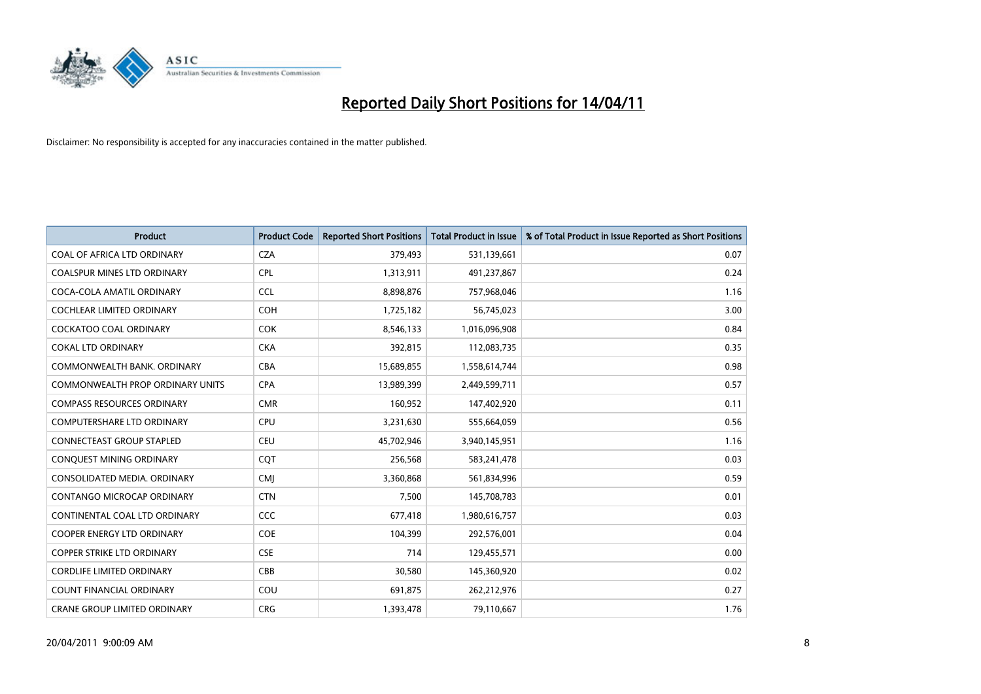

| <b>Product</b>                      | <b>Product Code</b> | <b>Reported Short Positions</b> | <b>Total Product in Issue</b> | % of Total Product in Issue Reported as Short Positions |
|-------------------------------------|---------------------|---------------------------------|-------------------------------|---------------------------------------------------------|
| COAL OF AFRICA LTD ORDINARY         | <b>CZA</b>          | 379,493                         | 531,139,661                   | 0.07                                                    |
| COALSPUR MINES LTD ORDINARY         | <b>CPL</b>          | 1,313,911                       | 491,237,867                   | 0.24                                                    |
| COCA-COLA AMATIL ORDINARY           | <b>CCL</b>          | 8,898,876                       | 757,968,046                   | 1.16                                                    |
| COCHLEAR LIMITED ORDINARY           | <b>COH</b>          | 1,725,182                       | 56,745,023                    | 3.00                                                    |
| COCKATOO COAL ORDINARY              | <b>COK</b>          | 8,546,133                       | 1,016,096,908                 | 0.84                                                    |
| <b>COKAL LTD ORDINARY</b>           | <b>CKA</b>          | 392,815                         | 112,083,735                   | 0.35                                                    |
| COMMONWEALTH BANK, ORDINARY         | <b>CBA</b>          | 15,689,855                      | 1,558,614,744                 | 0.98                                                    |
| COMMONWEALTH PROP ORDINARY UNITS    | <b>CPA</b>          | 13,989,399                      | 2,449,599,711                 | 0.57                                                    |
| <b>COMPASS RESOURCES ORDINARY</b>   | <b>CMR</b>          | 160,952                         | 147,402,920                   | 0.11                                                    |
| <b>COMPUTERSHARE LTD ORDINARY</b>   | <b>CPU</b>          | 3,231,630                       | 555,664,059                   | 0.56                                                    |
| CONNECTEAST GROUP STAPLED           | <b>CEU</b>          | 45,702,946                      | 3,940,145,951                 | 1.16                                                    |
| CONQUEST MINING ORDINARY            | COT                 | 256,568                         | 583,241,478                   | 0.03                                                    |
| CONSOLIDATED MEDIA, ORDINARY        | <b>CMJ</b>          | 3,360,868                       | 561,834,996                   | 0.59                                                    |
| <b>CONTANGO MICROCAP ORDINARY</b>   | <b>CTN</b>          | 7,500                           | 145,708,783                   | 0.01                                                    |
| CONTINENTAL COAL LTD ORDINARY       | <b>CCC</b>          | 677,418                         | 1,980,616,757                 | 0.03                                                    |
| COOPER ENERGY LTD ORDINARY          | <b>COE</b>          | 104,399                         | 292,576,001                   | 0.04                                                    |
| <b>COPPER STRIKE LTD ORDINARY</b>   | <b>CSE</b>          | 714                             | 129,455,571                   | 0.00                                                    |
| <b>CORDLIFE LIMITED ORDINARY</b>    | CBB                 | 30,580                          | 145,360,920                   | 0.02                                                    |
| <b>COUNT FINANCIAL ORDINARY</b>     | COU                 | 691,875                         | 262,212,976                   | 0.27                                                    |
| <b>CRANE GROUP LIMITED ORDINARY</b> | <b>CRG</b>          | 1,393,478                       | 79,110,667                    | 1.76                                                    |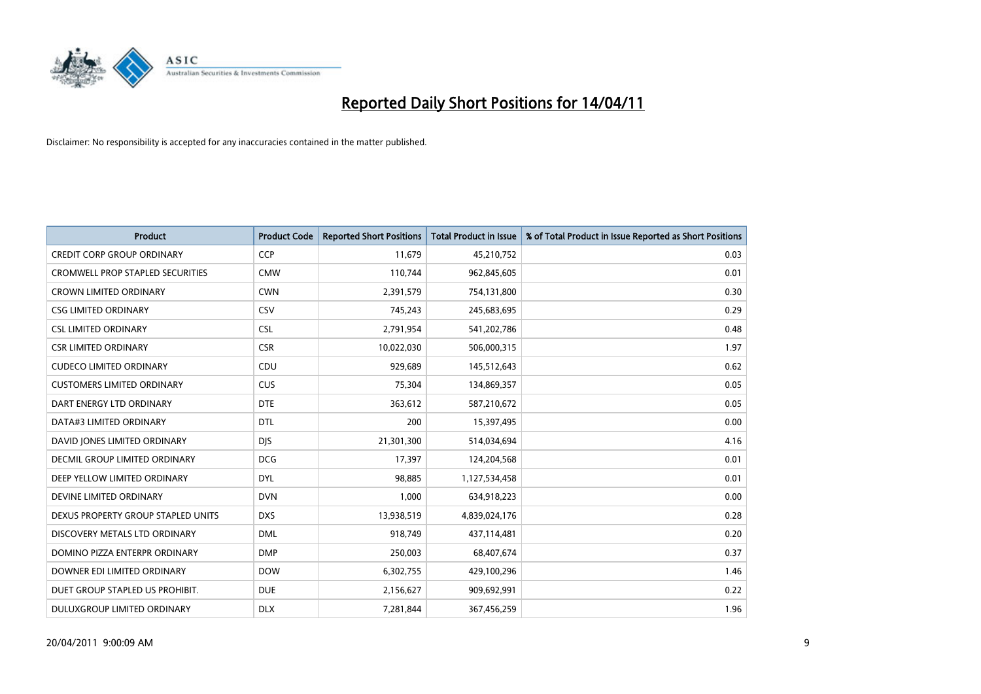

| <b>Product</b>                          | <b>Product Code</b> | <b>Reported Short Positions</b> | <b>Total Product in Issue</b> | % of Total Product in Issue Reported as Short Positions |
|-----------------------------------------|---------------------|---------------------------------|-------------------------------|---------------------------------------------------------|
| <b>CREDIT CORP GROUP ORDINARY</b>       | <b>CCP</b>          | 11,679                          | 45,210,752                    | 0.03                                                    |
| <b>CROMWELL PROP STAPLED SECURITIES</b> | <b>CMW</b>          | 110,744                         | 962,845,605                   | 0.01                                                    |
| <b>CROWN LIMITED ORDINARY</b>           | <b>CWN</b>          | 2,391,579                       | 754,131,800                   | 0.30                                                    |
| <b>CSG LIMITED ORDINARY</b>             | CSV                 | 745,243                         | 245,683,695                   | 0.29                                                    |
| <b>CSL LIMITED ORDINARY</b>             | <b>CSL</b>          | 2,791,954                       | 541,202,786                   | 0.48                                                    |
| <b>CSR LIMITED ORDINARY</b>             | <b>CSR</b>          | 10,022,030                      | 506,000,315                   | 1.97                                                    |
| <b>CUDECO LIMITED ORDINARY</b>          | CDU                 | 929,689                         | 145,512,643                   | 0.62                                                    |
| <b>CUSTOMERS LIMITED ORDINARY</b>       | CUS                 | 75,304                          | 134,869,357                   | 0.05                                                    |
| DART ENERGY LTD ORDINARY                | <b>DTE</b>          | 363,612                         | 587,210,672                   | 0.05                                                    |
| DATA#3 LIMITED ORDINARY                 | <b>DTL</b>          | 200                             | 15,397,495                    | 0.00                                                    |
| DAVID JONES LIMITED ORDINARY            | <b>DIS</b>          | 21,301,300                      | 514,034,694                   | 4.16                                                    |
| <b>DECMIL GROUP LIMITED ORDINARY</b>    | <b>DCG</b>          | 17,397                          | 124,204,568                   | 0.01                                                    |
| DEEP YELLOW LIMITED ORDINARY            | <b>DYL</b>          | 98,885                          | 1,127,534,458                 | 0.01                                                    |
| DEVINE LIMITED ORDINARY                 | <b>DVN</b>          | 1,000                           | 634,918,223                   | 0.00                                                    |
| DEXUS PROPERTY GROUP STAPLED UNITS      | <b>DXS</b>          | 13,938,519                      | 4,839,024,176                 | 0.28                                                    |
| DISCOVERY METALS LTD ORDINARY           | <b>DML</b>          | 918,749                         | 437,114,481                   | 0.20                                                    |
| DOMINO PIZZA ENTERPR ORDINARY           | <b>DMP</b>          | 250,003                         | 68,407,674                    | 0.37                                                    |
| DOWNER EDI LIMITED ORDINARY             | <b>DOW</b>          | 6,302,755                       | 429,100,296                   | 1.46                                                    |
| DUET GROUP STAPLED US PROHIBIT.         | <b>DUE</b>          | 2,156,627                       | 909,692,991                   | 0.22                                                    |
| DULUXGROUP LIMITED ORDINARY             | <b>DLX</b>          | 7,281,844                       | 367,456,259                   | 1.96                                                    |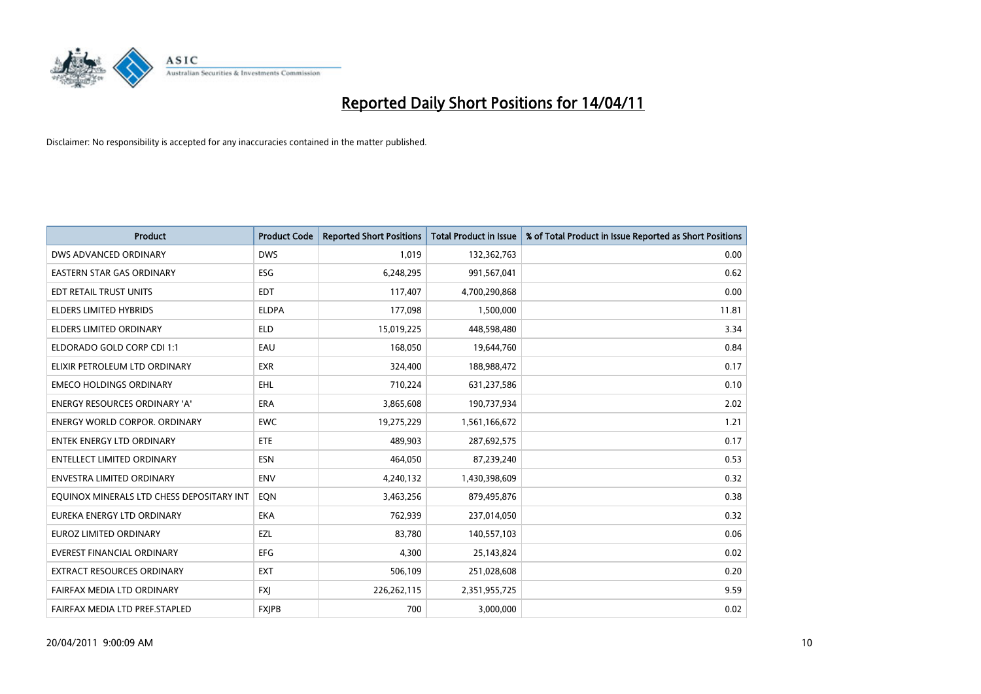

| <b>Product</b>                            | <b>Product Code</b> | <b>Reported Short Positions</b> | <b>Total Product in Issue</b> | % of Total Product in Issue Reported as Short Positions |
|-------------------------------------------|---------------------|---------------------------------|-------------------------------|---------------------------------------------------------|
| DWS ADVANCED ORDINARY                     | <b>DWS</b>          | 1,019                           | 132,362,763                   | 0.00                                                    |
| EASTERN STAR GAS ORDINARY                 | <b>ESG</b>          | 6,248,295                       | 991,567,041                   | 0.62                                                    |
| EDT RETAIL TRUST UNITS                    | <b>EDT</b>          | 117,407                         | 4,700,290,868                 | 0.00                                                    |
| ELDERS LIMITED HYBRIDS                    | <b>ELDPA</b>        | 177,098                         | 1,500,000                     | 11.81                                                   |
| <b>ELDERS LIMITED ORDINARY</b>            | <b>ELD</b>          | 15,019,225                      | 448,598,480                   | 3.34                                                    |
| ELDORADO GOLD CORP CDI 1:1                | EAU                 | 168,050                         | 19,644,760                    | 0.84                                                    |
| ELIXIR PETROLEUM LTD ORDINARY             | <b>EXR</b>          | 324,400                         | 188,988,472                   | 0.17                                                    |
| <b>EMECO HOLDINGS ORDINARY</b>            | <b>EHL</b>          | 710,224                         | 631,237,586                   | 0.10                                                    |
| <b>ENERGY RESOURCES ORDINARY 'A'</b>      | <b>ERA</b>          | 3,865,608                       | 190,737,934                   | 2.02                                                    |
| <b>ENERGY WORLD CORPOR, ORDINARY</b>      | <b>EWC</b>          | 19,275,229                      | 1,561,166,672                 | 1.21                                                    |
| ENTEK ENERGY LTD ORDINARY                 | <b>ETE</b>          | 489,903                         | 287,692,575                   | 0.17                                                    |
| <b>ENTELLECT LIMITED ORDINARY</b>         | <b>ESN</b>          | 464,050                         | 87,239,240                    | 0.53                                                    |
| <b>ENVESTRA LIMITED ORDINARY</b>          | <b>ENV</b>          | 4,240,132                       | 1,430,398,609                 | 0.32                                                    |
| EQUINOX MINERALS LTD CHESS DEPOSITARY INT | <b>EON</b>          | 3,463,256                       | 879,495,876                   | 0.38                                                    |
| EUREKA ENERGY LTD ORDINARY                | <b>EKA</b>          | 762,939                         | 237,014,050                   | 0.32                                                    |
| EUROZ LIMITED ORDINARY                    | EZL                 | 83,780                          | 140,557,103                   | 0.06                                                    |
| EVEREST FINANCIAL ORDINARY                | EFG                 | 4,300                           | 25,143,824                    | 0.02                                                    |
| EXTRACT RESOURCES ORDINARY                | <b>EXT</b>          | 506,109                         | 251,028,608                   | 0.20                                                    |
| FAIRFAX MEDIA LTD ORDINARY                | <b>FXI</b>          | 226,262,115                     | 2,351,955,725                 | 9.59                                                    |
| FAIRFAX MEDIA LTD PREF.STAPLED            | <b>FXIPB</b>        | 700                             | 3,000,000                     | 0.02                                                    |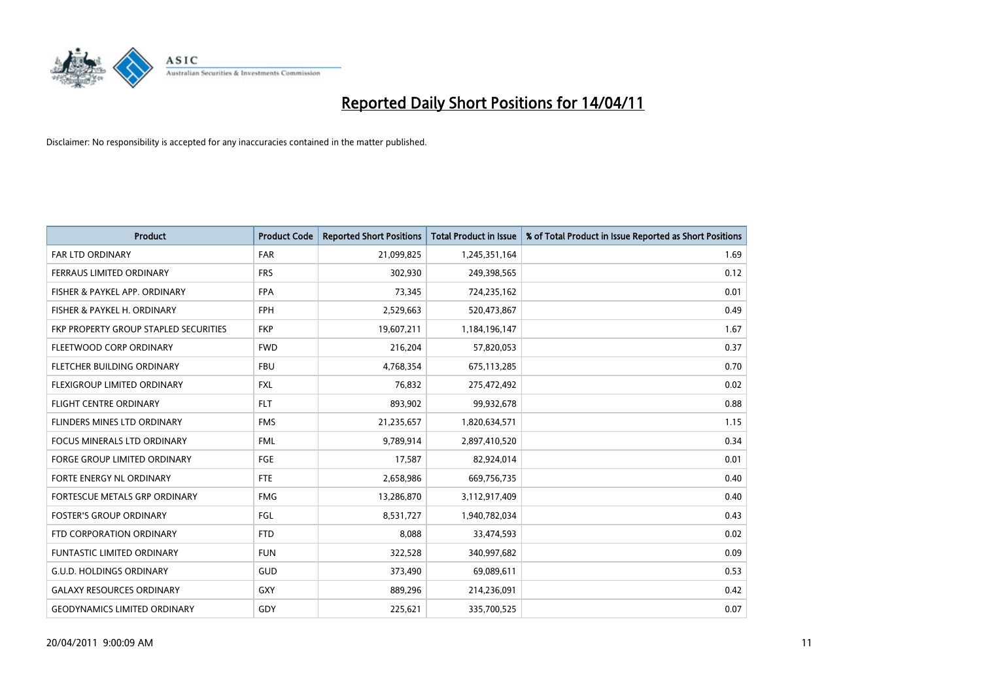

| <b>Product</b>                        | <b>Product Code</b> | <b>Reported Short Positions</b> | <b>Total Product in Issue</b> | % of Total Product in Issue Reported as Short Positions |
|---------------------------------------|---------------------|---------------------------------|-------------------------------|---------------------------------------------------------|
| <b>FAR LTD ORDINARY</b>               | <b>FAR</b>          | 21,099,825                      | 1,245,351,164                 | 1.69                                                    |
| FERRAUS LIMITED ORDINARY              | <b>FRS</b>          | 302,930                         | 249,398,565                   | 0.12                                                    |
| FISHER & PAYKEL APP. ORDINARY         | <b>FPA</b>          | 73,345                          | 724,235,162                   | 0.01                                                    |
| FISHER & PAYKEL H. ORDINARY           | <b>FPH</b>          | 2,529,663                       | 520,473,867                   | 0.49                                                    |
| FKP PROPERTY GROUP STAPLED SECURITIES | <b>FKP</b>          | 19,607,211                      | 1,184,196,147                 | 1.67                                                    |
| FLEETWOOD CORP ORDINARY               | <b>FWD</b>          | 216,204                         | 57,820,053                    | 0.37                                                    |
| FLETCHER BUILDING ORDINARY            | <b>FBU</b>          | 4,768,354                       | 675,113,285                   | 0.70                                                    |
| FLEXIGROUP LIMITED ORDINARY           | <b>FXL</b>          | 76,832                          | 275,472,492                   | 0.02                                                    |
| FLIGHT CENTRE ORDINARY                | <b>FLT</b>          | 893,902                         | 99,932,678                    | 0.88                                                    |
| FLINDERS MINES LTD ORDINARY           | <b>FMS</b>          | 21,235,657                      | 1,820,634,571                 | 1.15                                                    |
| FOCUS MINERALS LTD ORDINARY           | <b>FML</b>          | 9,789,914                       | 2,897,410,520                 | 0.34                                                    |
| <b>FORGE GROUP LIMITED ORDINARY</b>   | <b>FGE</b>          | 17,587                          | 82,924,014                    | 0.01                                                    |
| FORTE ENERGY NL ORDINARY              | <b>FTE</b>          | 2,658,986                       | 669,756,735                   | 0.40                                                    |
| FORTESCUE METALS GRP ORDINARY         | <b>FMG</b>          | 13,286,870                      | 3,112,917,409                 | 0.40                                                    |
| <b>FOSTER'S GROUP ORDINARY</b>        | FGL                 | 8,531,727                       | 1,940,782,034                 | 0.43                                                    |
| FTD CORPORATION ORDINARY              | <b>FTD</b>          | 8,088                           | 33,474,593                    | 0.02                                                    |
| <b>FUNTASTIC LIMITED ORDINARY</b>     | <b>FUN</b>          | 322,528                         | 340,997,682                   | 0.09                                                    |
| <b>G.U.D. HOLDINGS ORDINARY</b>       | <b>GUD</b>          | 373,490                         | 69,089,611                    | 0.53                                                    |
| <b>GALAXY RESOURCES ORDINARY</b>      | <b>GXY</b>          | 889,296                         | 214,236,091                   | 0.42                                                    |
| <b>GEODYNAMICS LIMITED ORDINARY</b>   | GDY                 | 225,621                         | 335,700,525                   | 0.07                                                    |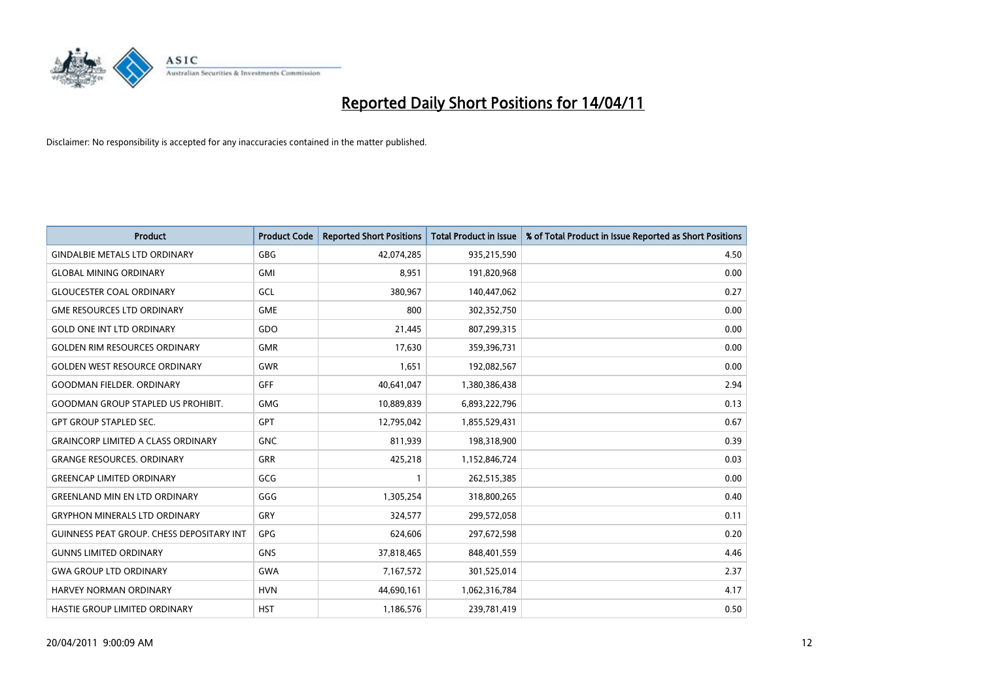

| <b>Product</b>                                   | <b>Product Code</b> | <b>Reported Short Positions</b> | <b>Total Product in Issue</b> | % of Total Product in Issue Reported as Short Positions |
|--------------------------------------------------|---------------------|---------------------------------|-------------------------------|---------------------------------------------------------|
| <b>GINDALBIE METALS LTD ORDINARY</b>             | <b>GBG</b>          | 42,074,285                      | 935,215,590                   | 4.50                                                    |
| <b>GLOBAL MINING ORDINARY</b>                    | <b>GMI</b>          | 8,951                           | 191,820,968                   | 0.00                                                    |
| <b>GLOUCESTER COAL ORDINARY</b>                  | GCL                 | 380.967                         | 140,447,062                   | 0.27                                                    |
| <b>GME RESOURCES LTD ORDINARY</b>                | <b>GME</b>          | 800                             | 302,352,750                   | 0.00                                                    |
| <b>GOLD ONE INT LTD ORDINARY</b>                 | GDO                 | 21,445                          | 807,299,315                   | 0.00                                                    |
| <b>GOLDEN RIM RESOURCES ORDINARY</b>             | <b>GMR</b>          | 17,630                          | 359,396,731                   | 0.00                                                    |
| <b>GOLDEN WEST RESOURCE ORDINARY</b>             | GWR                 | 1,651                           | 192,082,567                   | 0.00                                                    |
| <b>GOODMAN FIELDER. ORDINARY</b>                 | <b>GFF</b>          | 40,641,047                      | 1,380,386,438                 | 2.94                                                    |
| <b>GOODMAN GROUP STAPLED US PROHIBIT.</b>        | <b>GMG</b>          | 10,889,839                      | 6,893,222,796                 | 0.13                                                    |
| <b>GPT GROUP STAPLED SEC.</b>                    | <b>GPT</b>          | 12,795,042                      | 1,855,529,431                 | 0.67                                                    |
| <b>GRAINCORP LIMITED A CLASS ORDINARY</b>        | <b>GNC</b>          | 811,939                         | 198,318,900                   | 0.39                                                    |
| <b>GRANGE RESOURCES, ORDINARY</b>                | <b>GRR</b>          | 425,218                         | 1,152,846,724                 | 0.03                                                    |
| <b>GREENCAP LIMITED ORDINARY</b>                 | GCG                 |                                 | 262,515,385                   | 0.00                                                    |
| <b>GREENLAND MIN EN LTD ORDINARY</b>             | GGG                 | 1,305,254                       | 318,800,265                   | 0.40                                                    |
| <b>GRYPHON MINERALS LTD ORDINARY</b>             | GRY                 | 324,577                         | 299,572,058                   | 0.11                                                    |
| <b>GUINNESS PEAT GROUP. CHESS DEPOSITARY INT</b> | GPG                 | 624,606                         | 297,672,598                   | 0.20                                                    |
| <b>GUNNS LIMITED ORDINARY</b>                    | <b>GNS</b>          | 37,818,465                      | 848,401,559                   | 4.46                                                    |
| <b>GWA GROUP LTD ORDINARY</b>                    | <b>GWA</b>          | 7,167,572                       | 301,525,014                   | 2.37                                                    |
| HARVEY NORMAN ORDINARY                           | <b>HVN</b>          | 44,690,161                      | 1,062,316,784                 | 4.17                                                    |
| HASTIE GROUP LIMITED ORDINARY                    | <b>HST</b>          | 1,186,576                       | 239,781,419                   | 0.50                                                    |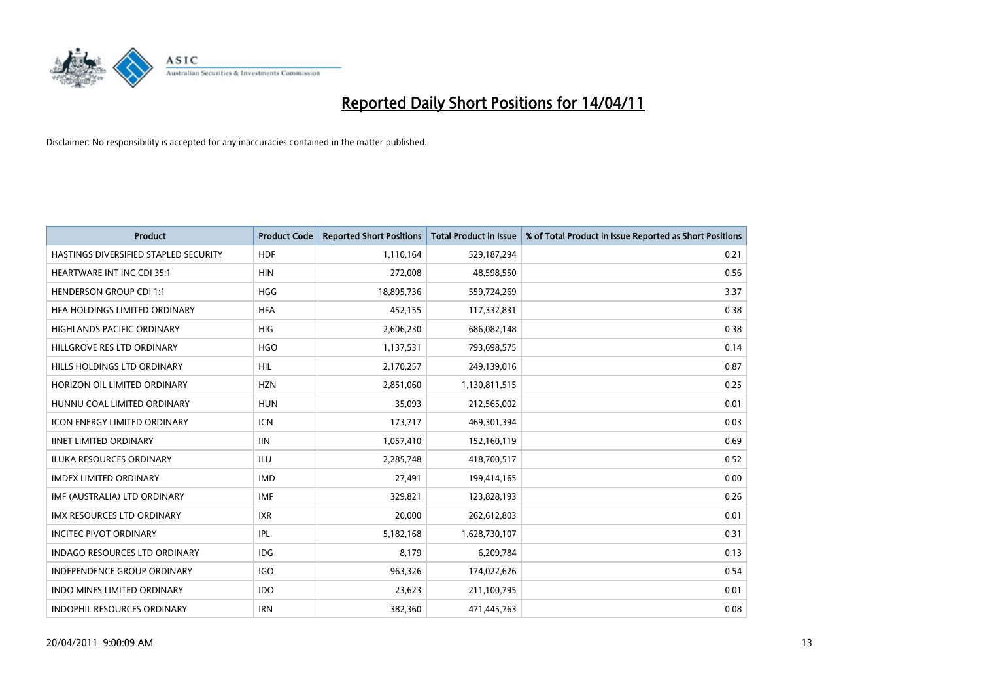

| <b>Product</b>                        | <b>Product Code</b> | <b>Reported Short Positions</b> | <b>Total Product in Issue</b> | % of Total Product in Issue Reported as Short Positions |
|---------------------------------------|---------------------|---------------------------------|-------------------------------|---------------------------------------------------------|
| HASTINGS DIVERSIFIED STAPLED SECURITY | <b>HDF</b>          | 1,110,164                       | 529,187,294                   | 0.21                                                    |
| <b>HEARTWARE INT INC CDI 35:1</b>     | <b>HIN</b>          | 272,008                         | 48,598,550                    | 0.56                                                    |
| <b>HENDERSON GROUP CDI 1:1</b>        | <b>HGG</b>          | 18,895,736                      | 559,724,269                   | 3.37                                                    |
| HFA HOLDINGS LIMITED ORDINARY         | <b>HFA</b>          | 452,155                         | 117,332,831                   | 0.38                                                    |
| <b>HIGHLANDS PACIFIC ORDINARY</b>     | <b>HIG</b>          | 2,606,230                       | 686,082,148                   | 0.38                                                    |
| HILLGROVE RES LTD ORDINARY            | <b>HGO</b>          | 1,137,531                       | 793,698,575                   | 0.14                                                    |
| HILLS HOLDINGS LTD ORDINARY           | <b>HIL</b>          | 2,170,257                       | 249,139,016                   | 0.87                                                    |
| HORIZON OIL LIMITED ORDINARY          | <b>HZN</b>          | 2,851,060                       | 1,130,811,515                 | 0.25                                                    |
| HUNNU COAL LIMITED ORDINARY           | <b>HUN</b>          | 35,093                          | 212,565,002                   | 0.01                                                    |
| <b>ICON ENERGY LIMITED ORDINARY</b>   | <b>ICN</b>          | 173,717                         | 469,301,394                   | 0.03                                                    |
| <b>IINET LIMITED ORDINARY</b>         | IIIN                | 1,057,410                       | 152,160,119                   | 0.69                                                    |
| <b>ILUKA RESOURCES ORDINARY</b>       | <b>ILU</b>          | 2,285,748                       | 418,700,517                   | 0.52                                                    |
| <b>IMDEX LIMITED ORDINARY</b>         | <b>IMD</b>          | 27.491                          | 199,414,165                   | 0.00                                                    |
| IMF (AUSTRALIA) LTD ORDINARY          | <b>IMF</b>          | 329.821                         | 123,828,193                   | 0.26                                                    |
| IMX RESOURCES LTD ORDINARY            | <b>IXR</b>          | 20,000                          | 262,612,803                   | 0.01                                                    |
| <b>INCITEC PIVOT ORDINARY</b>         | <b>IPL</b>          | 5,182,168                       | 1,628,730,107                 | 0.31                                                    |
| <b>INDAGO RESOURCES LTD ORDINARY</b>  | <b>IDG</b>          | 8,179                           | 6,209,784                     | 0.13                                                    |
| INDEPENDENCE GROUP ORDINARY           | <b>IGO</b>          | 963,326                         | 174,022,626                   | 0.54                                                    |
| <b>INDO MINES LIMITED ORDINARY</b>    | <b>IDO</b>          | 23,623                          | 211,100,795                   | 0.01                                                    |
| <b>INDOPHIL RESOURCES ORDINARY</b>    | <b>IRN</b>          | 382,360                         | 471,445,763                   | 0.08                                                    |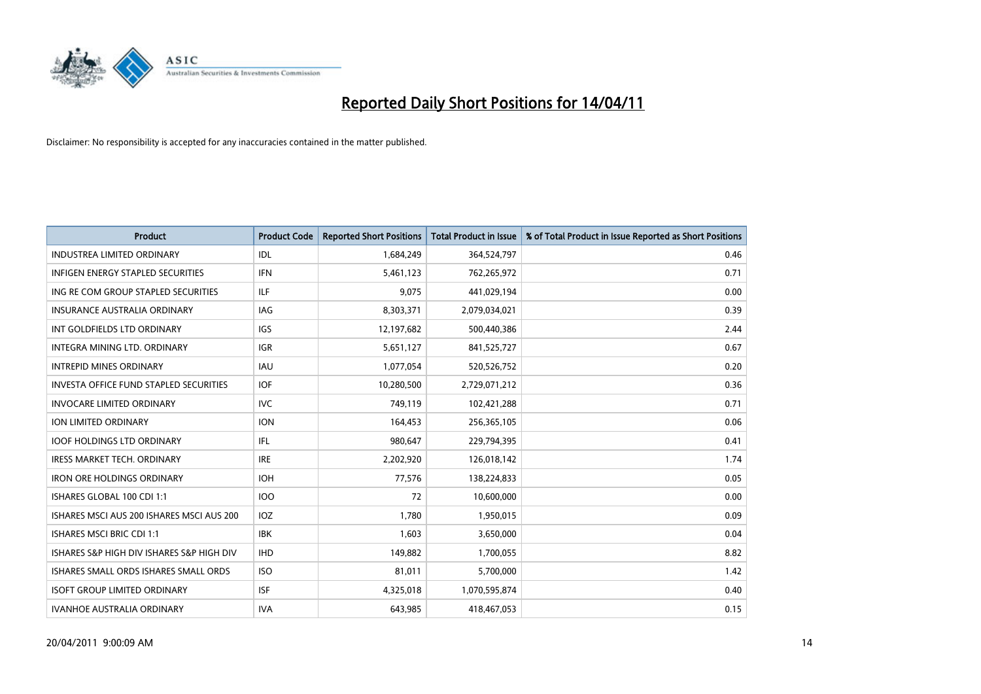

| <b>Product</b>                                | <b>Product Code</b> | <b>Reported Short Positions</b> | <b>Total Product in Issue</b> | % of Total Product in Issue Reported as Short Positions |
|-----------------------------------------------|---------------------|---------------------------------|-------------------------------|---------------------------------------------------------|
| <b>INDUSTREA LIMITED ORDINARY</b>             | IDL                 | 1,684,249                       | 364,524,797                   | 0.46                                                    |
| INFIGEN ENERGY STAPLED SECURITIES             | <b>IFN</b>          | 5,461,123                       | 762,265,972                   | 0.71                                                    |
| ING RE COM GROUP STAPLED SECURITIES           | <b>ILF</b>          | 9,075                           | 441,029,194                   | 0.00                                                    |
| INSURANCE AUSTRALIA ORDINARY                  | <b>IAG</b>          | 8,303,371                       | 2,079,034,021                 | 0.39                                                    |
| INT GOLDFIELDS LTD ORDINARY                   | <b>IGS</b>          | 12,197,682                      | 500,440,386                   | 2.44                                                    |
| INTEGRA MINING LTD, ORDINARY                  | <b>IGR</b>          | 5,651,127                       | 841,525,727                   | 0.67                                                    |
| <b>INTREPID MINES ORDINARY</b>                | <b>IAU</b>          | 1,077,054                       | 520,526,752                   | 0.20                                                    |
| <b>INVESTA OFFICE FUND STAPLED SECURITIES</b> | <b>IOF</b>          | 10,280,500                      | 2,729,071,212                 | 0.36                                                    |
| <b>INVOCARE LIMITED ORDINARY</b>              | <b>IVC</b>          | 749,119                         | 102,421,288                   | 0.71                                                    |
| ION LIMITED ORDINARY                          | <b>ION</b>          | 164,453                         | 256,365,105                   | 0.06                                                    |
| <b>IOOF HOLDINGS LTD ORDINARY</b>             | IFL                 | 980,647                         | 229,794,395                   | 0.41                                                    |
| <b>IRESS MARKET TECH. ORDINARY</b>            | <b>IRE</b>          | 2,202,920                       | 126,018,142                   | 1.74                                                    |
| <b>IRON ORE HOLDINGS ORDINARY</b>             | <b>IOH</b>          | 77,576                          | 138,224,833                   | 0.05                                                    |
| ISHARES GLOBAL 100 CDI 1:1                    | 100                 | 72                              | 10,600,000                    | 0.00                                                    |
| ISHARES MSCLAUS 200 ISHARES MSCLAUS 200       | <b>IOZ</b>          | 1,780                           | 1,950,015                     | 0.09                                                    |
| ISHARES MSCI BRIC CDI 1:1                     | <b>IBK</b>          | 1,603                           | 3,650,000                     | 0.04                                                    |
| ISHARES S&P HIGH DIV ISHARES S&P HIGH DIV     | <b>IHD</b>          | 149,882                         | 1,700,055                     | 8.82                                                    |
| ISHARES SMALL ORDS ISHARES SMALL ORDS         | <b>ISO</b>          | 81,011                          | 5,700,000                     | 1.42                                                    |
| <b>ISOFT GROUP LIMITED ORDINARY</b>           | <b>ISF</b>          | 4,325,018                       | 1,070,595,874                 | 0.40                                                    |
| <b>IVANHOE AUSTRALIA ORDINARY</b>             | <b>IVA</b>          | 643,985                         | 418,467,053                   | 0.15                                                    |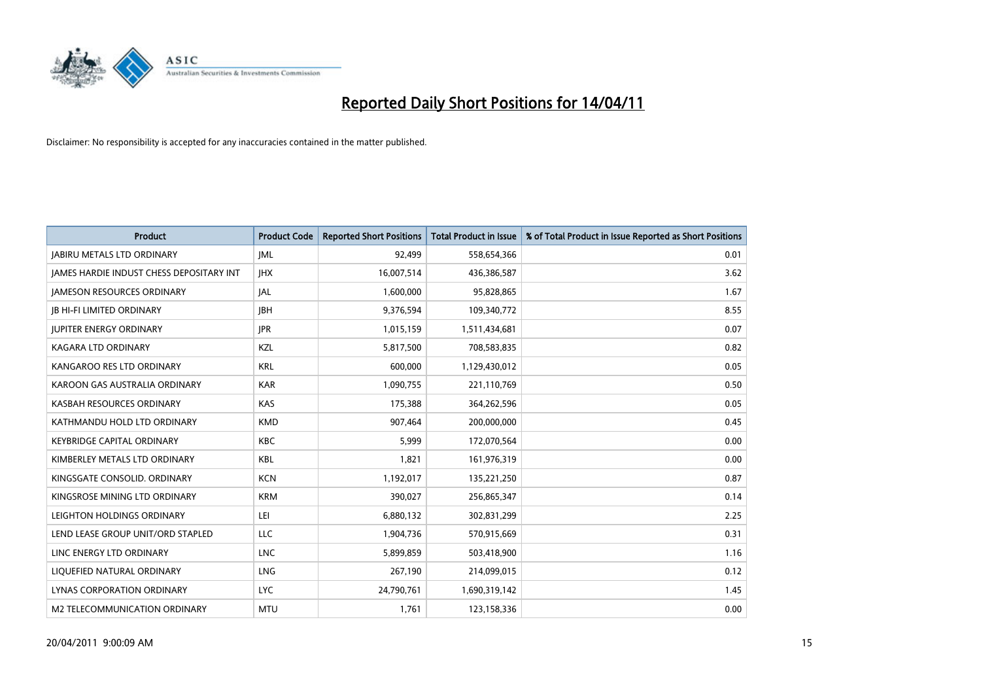

| <b>Product</b>                                  | <b>Product Code</b> | <b>Reported Short Positions</b> | <b>Total Product in Issue</b> | % of Total Product in Issue Reported as Short Positions |
|-------------------------------------------------|---------------------|---------------------------------|-------------------------------|---------------------------------------------------------|
| <b>JABIRU METALS LTD ORDINARY</b>               | IML                 | 92,499                          | 558,654,366                   | 0.01                                                    |
| <b>IAMES HARDIE INDUST CHESS DEPOSITARY INT</b> | <b>IHX</b>          | 16,007,514                      | 436,386,587                   | 3.62                                                    |
| <b>JAMESON RESOURCES ORDINARY</b>               | JAL                 | 1,600,000                       | 95,828,865                    | 1.67                                                    |
| <b>JB HI-FI LIMITED ORDINARY</b>                | <b>IBH</b>          | 9,376,594                       | 109,340,772                   | 8.55                                                    |
| <b>IUPITER ENERGY ORDINARY</b>                  | <b>IPR</b>          | 1,015,159                       | 1,511,434,681                 | 0.07                                                    |
| KAGARA LTD ORDINARY                             | KZL                 | 5,817,500                       | 708,583,835                   | 0.82                                                    |
| KANGAROO RES LTD ORDINARY                       | <b>KRL</b>          | 600.000                         | 1,129,430,012                 | 0.05                                                    |
| KAROON GAS AUSTRALIA ORDINARY                   | <b>KAR</b>          | 1,090,755                       | 221,110,769                   | 0.50                                                    |
| KASBAH RESOURCES ORDINARY                       | <b>KAS</b>          | 175,388                         | 364,262,596                   | 0.05                                                    |
| KATHMANDU HOLD LTD ORDINARY                     | <b>KMD</b>          | 907,464                         | 200,000,000                   | 0.45                                                    |
| <b>KEYBRIDGE CAPITAL ORDINARY</b>               | <b>KBC</b>          | 5,999                           | 172,070,564                   | 0.00                                                    |
| KIMBERLEY METALS LTD ORDINARY                   | <b>KBL</b>          | 1,821                           | 161,976,319                   | 0.00                                                    |
| KINGSGATE CONSOLID. ORDINARY                    | <b>KCN</b>          | 1,192,017                       | 135,221,250                   | 0.87                                                    |
| KINGSROSE MINING LTD ORDINARY                   | <b>KRM</b>          | 390.027                         | 256,865,347                   | 0.14                                                    |
| LEIGHTON HOLDINGS ORDINARY                      | LEI                 | 6,880,132                       | 302,831,299                   | 2.25                                                    |
| LEND LEASE GROUP UNIT/ORD STAPLED               | <b>LLC</b>          | 1,904,736                       | 570,915,669                   | 0.31                                                    |
| LINC ENERGY LTD ORDINARY                        | <b>LNC</b>          | 5,899,859                       | 503,418,900                   | 1.16                                                    |
| LIQUEFIED NATURAL ORDINARY                      | LNG                 | 267,190                         | 214,099,015                   | 0.12                                                    |
| LYNAS CORPORATION ORDINARY                      | <b>LYC</b>          | 24,790,761                      | 1,690,319,142                 | 1.45                                                    |
| M2 TELECOMMUNICATION ORDINARY                   | <b>MTU</b>          | 1.761                           | 123,158,336                   | 0.00                                                    |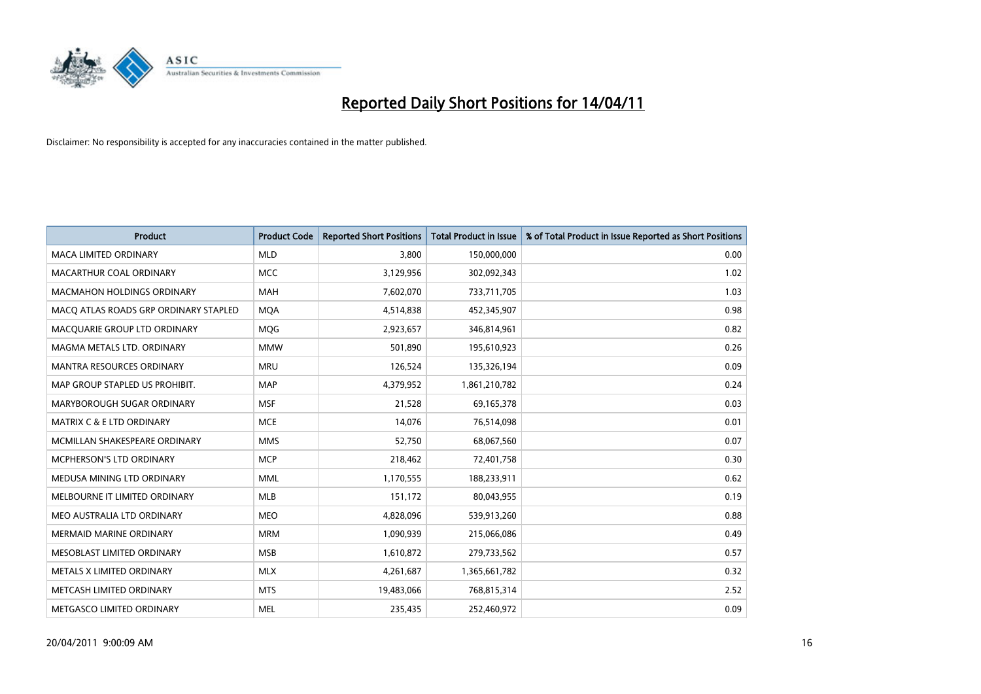

| <b>Product</b>                        | <b>Product Code</b> | <b>Reported Short Positions</b> | <b>Total Product in Issue</b> | % of Total Product in Issue Reported as Short Positions |
|---------------------------------------|---------------------|---------------------------------|-------------------------------|---------------------------------------------------------|
| <b>MACA LIMITED ORDINARY</b>          | <b>MLD</b>          | 3.800                           | 150,000,000                   | 0.00                                                    |
| MACARTHUR COAL ORDINARY               | <b>MCC</b>          | 3,129,956                       | 302,092,343                   | 1.02                                                    |
| <b>MACMAHON HOLDINGS ORDINARY</b>     | <b>MAH</b>          | 7,602,070                       | 733,711,705                   | 1.03                                                    |
| MACQ ATLAS ROADS GRP ORDINARY STAPLED | <b>MOA</b>          | 4,514,838                       | 452,345,907                   | 0.98                                                    |
| MACOUARIE GROUP LTD ORDINARY          | <b>MOG</b>          | 2,923,657                       | 346,814,961                   | 0.82                                                    |
| MAGMA METALS LTD. ORDINARY            | <b>MMW</b>          | 501,890                         | 195,610,923                   | 0.26                                                    |
| <b>MANTRA RESOURCES ORDINARY</b>      | <b>MRU</b>          | 126,524                         | 135,326,194                   | 0.09                                                    |
| MAP GROUP STAPLED US PROHIBIT.        | <b>MAP</b>          | 4,379,952                       | 1,861,210,782                 | 0.24                                                    |
| MARYBOROUGH SUGAR ORDINARY            | <b>MSF</b>          | 21,528                          | 69,165,378                    | 0.03                                                    |
| <b>MATRIX C &amp; E LTD ORDINARY</b>  | <b>MCE</b>          | 14,076                          | 76,514,098                    | 0.01                                                    |
| MCMILLAN SHAKESPEARE ORDINARY         | <b>MMS</b>          | 52,750                          | 68,067,560                    | 0.07                                                    |
| <b>MCPHERSON'S LTD ORDINARY</b>       | <b>MCP</b>          | 218,462                         | 72,401,758                    | 0.30                                                    |
| MEDUSA MINING LTD ORDINARY            | <b>MML</b>          | 1,170,555                       | 188,233,911                   | 0.62                                                    |
| MELBOURNE IT LIMITED ORDINARY         | <b>MLB</b>          | 151,172                         | 80,043,955                    | 0.19                                                    |
| MEO AUSTRALIA LTD ORDINARY            | <b>MEO</b>          | 4,828,096                       | 539,913,260                   | 0.88                                                    |
| <b>MERMAID MARINE ORDINARY</b>        | <b>MRM</b>          | 1,090,939                       | 215,066,086                   | 0.49                                                    |
| MESOBLAST LIMITED ORDINARY            | <b>MSB</b>          | 1,610,872                       | 279,733,562                   | 0.57                                                    |
| METALS X LIMITED ORDINARY             | <b>MLX</b>          | 4,261,687                       | 1,365,661,782                 | 0.32                                                    |
| METCASH LIMITED ORDINARY              | <b>MTS</b>          | 19,483,066                      | 768,815,314                   | 2.52                                                    |
| METGASCO LIMITED ORDINARY             | <b>MEL</b>          | 235.435                         | 252,460,972                   | 0.09                                                    |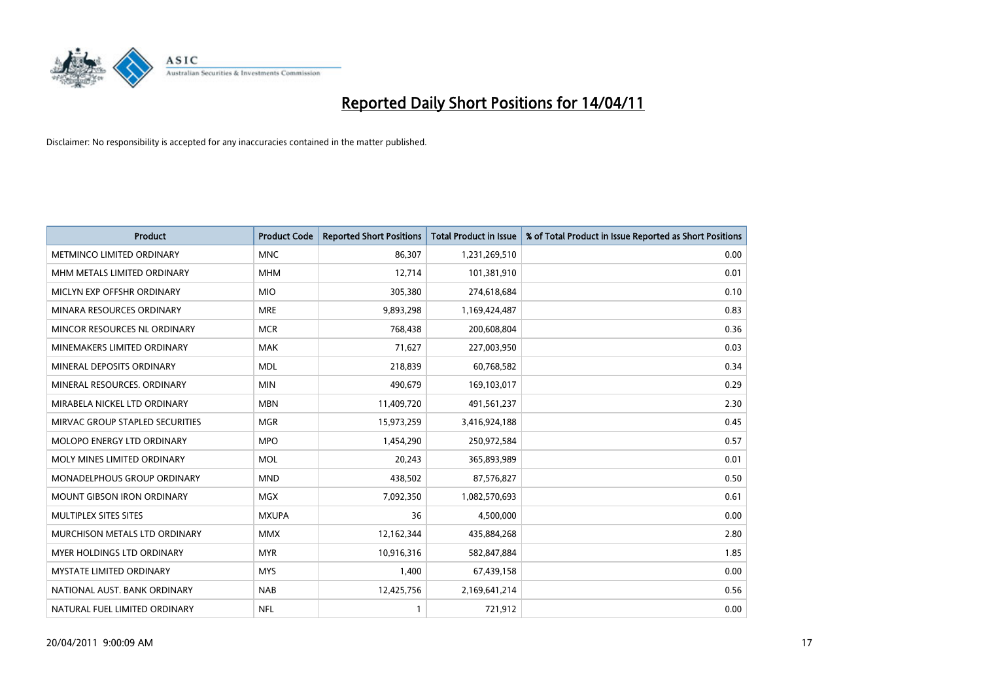

| <b>Product</b>                    | <b>Product Code</b> | <b>Reported Short Positions</b> | <b>Total Product in Issue</b> | % of Total Product in Issue Reported as Short Positions |
|-----------------------------------|---------------------|---------------------------------|-------------------------------|---------------------------------------------------------|
| METMINCO LIMITED ORDINARY         | <b>MNC</b>          | 86,307                          | 1,231,269,510                 | 0.00                                                    |
| MHM METALS LIMITED ORDINARY       | <b>MHM</b>          | 12,714                          | 101,381,910                   | 0.01                                                    |
| MICLYN EXP OFFSHR ORDINARY        | <b>MIO</b>          | 305,380                         | 274,618,684                   | 0.10                                                    |
| MINARA RESOURCES ORDINARY         | <b>MRE</b>          | 9,893,298                       | 1,169,424,487                 | 0.83                                                    |
| MINCOR RESOURCES NL ORDINARY      | <b>MCR</b>          | 768,438                         | 200,608,804                   | 0.36                                                    |
| MINEMAKERS LIMITED ORDINARY       | <b>MAK</b>          | 71,627                          | 227,003,950                   | 0.03                                                    |
| MINERAL DEPOSITS ORDINARY         | <b>MDL</b>          | 218,839                         | 60,768,582                    | 0.34                                                    |
| MINERAL RESOURCES. ORDINARY       | <b>MIN</b>          | 490,679                         | 169,103,017                   | 0.29                                                    |
| MIRABELA NICKEL LTD ORDINARY      | <b>MBN</b>          | 11,409,720                      | 491,561,237                   | 2.30                                                    |
| MIRVAC GROUP STAPLED SECURITIES   | <b>MGR</b>          | 15,973,259                      | 3,416,924,188                 | 0.45                                                    |
| MOLOPO ENERGY LTD ORDINARY        | <b>MPO</b>          | 1,454,290                       | 250,972,584                   | 0.57                                                    |
| MOLY MINES LIMITED ORDINARY       | <b>MOL</b>          | 20,243                          | 365,893,989                   | 0.01                                                    |
| MONADELPHOUS GROUP ORDINARY       | <b>MND</b>          | 438,502                         | 87,576,827                    | 0.50                                                    |
| <b>MOUNT GIBSON IRON ORDINARY</b> | <b>MGX</b>          | 7,092,350                       | 1,082,570,693                 | 0.61                                                    |
| MULTIPLEX SITES SITES             | <b>MXUPA</b>        | 36                              | 4,500,000                     | 0.00                                                    |
| MURCHISON METALS LTD ORDINARY     | <b>MMX</b>          | 12,162,344                      | 435,884,268                   | 2.80                                                    |
| MYER HOLDINGS LTD ORDINARY        | <b>MYR</b>          | 10,916,316                      | 582,847,884                   | 1.85                                                    |
| <b>MYSTATE LIMITED ORDINARY</b>   | <b>MYS</b>          | 1,400                           | 67,439,158                    | 0.00                                                    |
| NATIONAL AUST. BANK ORDINARY      | <b>NAB</b>          | 12,425,756                      | 2,169,641,214                 | 0.56                                                    |
| NATURAL FUEL LIMITED ORDINARY     | <b>NFL</b>          |                                 | 721,912                       | 0.00                                                    |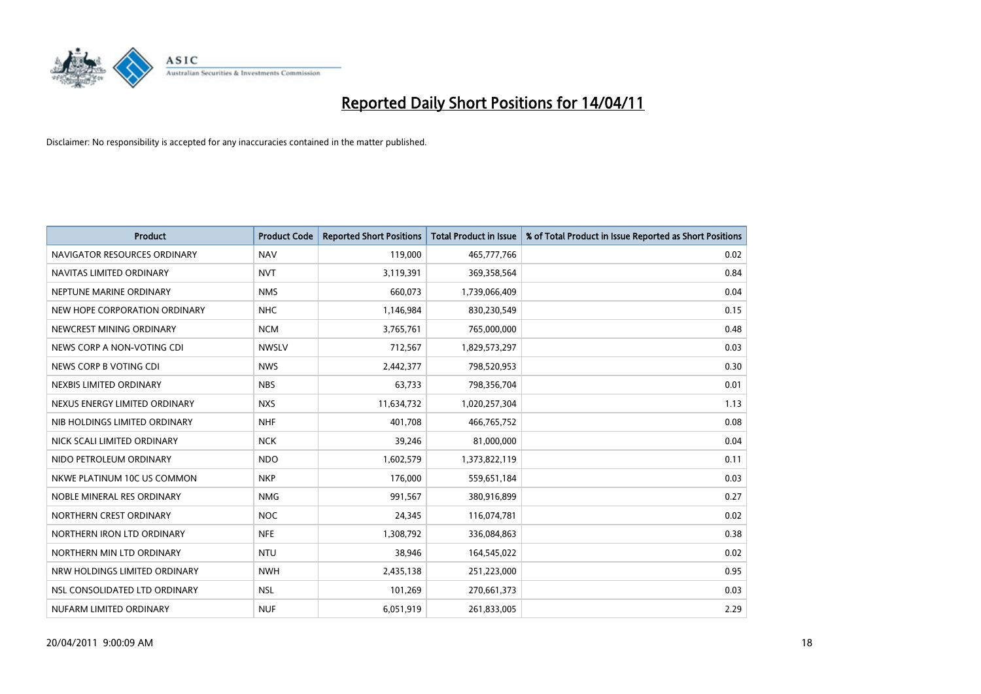

| <b>Product</b>                | <b>Product Code</b> | <b>Reported Short Positions</b> | <b>Total Product in Issue</b> | % of Total Product in Issue Reported as Short Positions |
|-------------------------------|---------------------|---------------------------------|-------------------------------|---------------------------------------------------------|
| NAVIGATOR RESOURCES ORDINARY  | <b>NAV</b>          | 119,000                         | 465,777,766                   | 0.02                                                    |
| NAVITAS LIMITED ORDINARY      | <b>NVT</b>          | 3,119,391                       | 369,358,564                   | 0.84                                                    |
| NEPTUNE MARINE ORDINARY       | <b>NMS</b>          | 660.073                         | 1,739,066,409                 | 0.04                                                    |
| NEW HOPE CORPORATION ORDINARY | <b>NHC</b>          | 1,146,984                       | 830,230,549                   | 0.15                                                    |
| NEWCREST MINING ORDINARY      | <b>NCM</b>          | 3,765,761                       | 765,000,000                   | 0.48                                                    |
| NEWS CORP A NON-VOTING CDI    | <b>NWSLV</b>        | 712,567                         | 1,829,573,297                 | 0.03                                                    |
| NEWS CORP B VOTING CDI        | <b>NWS</b>          | 2,442,377                       | 798,520,953                   | 0.30                                                    |
| NEXBIS LIMITED ORDINARY       | <b>NBS</b>          | 63,733                          | 798,356,704                   | 0.01                                                    |
| NEXUS ENERGY LIMITED ORDINARY | <b>NXS</b>          | 11,634,732                      | 1,020,257,304                 | 1.13                                                    |
| NIB HOLDINGS LIMITED ORDINARY | <b>NHF</b>          | 401,708                         | 466,765,752                   | 0.08                                                    |
| NICK SCALI LIMITED ORDINARY   | <b>NCK</b>          | 39,246                          | 81,000,000                    | 0.04                                                    |
| NIDO PETROLEUM ORDINARY       | <b>NDO</b>          | 1,602,579                       | 1,373,822,119                 | 0.11                                                    |
| NKWE PLATINUM 10C US COMMON   | <b>NKP</b>          | 176,000                         | 559,651,184                   | 0.03                                                    |
| NOBLE MINERAL RES ORDINARY    | <b>NMG</b>          | 991,567                         | 380,916,899                   | 0.27                                                    |
| NORTHERN CREST ORDINARY       | <b>NOC</b>          | 24,345                          | 116,074,781                   | 0.02                                                    |
| NORTHERN IRON LTD ORDINARY    | <b>NFE</b>          | 1,308,792                       | 336,084,863                   | 0.38                                                    |
| NORTHERN MIN LTD ORDINARY     | <b>NTU</b>          | 38,946                          | 164,545,022                   | 0.02                                                    |
| NRW HOLDINGS LIMITED ORDINARY | <b>NWH</b>          | 2,435,138                       | 251,223,000                   | 0.95                                                    |
| NSL CONSOLIDATED LTD ORDINARY | <b>NSL</b>          | 101,269                         | 270,661,373                   | 0.03                                                    |
| NUFARM LIMITED ORDINARY       | <b>NUF</b>          | 6,051,919                       | 261,833,005                   | 2.29                                                    |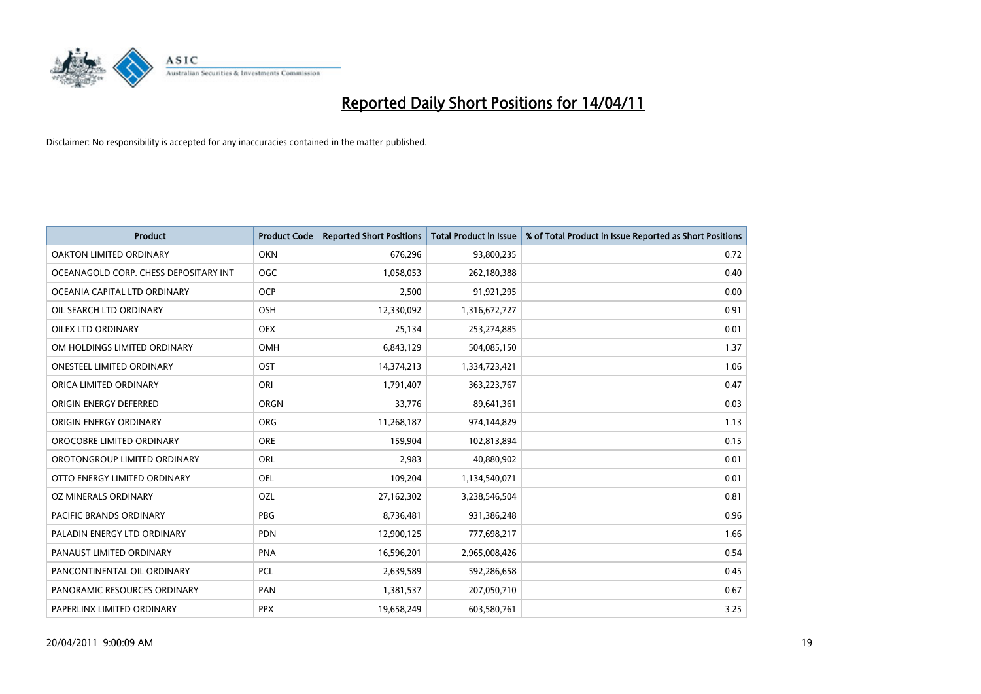

| <b>Product</b>                        | <b>Product Code</b> | <b>Reported Short Positions</b> | <b>Total Product in Issue</b> | % of Total Product in Issue Reported as Short Positions |
|---------------------------------------|---------------------|---------------------------------|-------------------------------|---------------------------------------------------------|
| <b>OAKTON LIMITED ORDINARY</b>        | <b>OKN</b>          | 676,296                         | 93,800,235                    | 0.72                                                    |
| OCEANAGOLD CORP. CHESS DEPOSITARY INT | <b>OGC</b>          | 1,058,053                       | 262,180,388                   | 0.40                                                    |
| OCEANIA CAPITAL LTD ORDINARY          | <b>OCP</b>          | 2,500                           | 91,921,295                    | 0.00                                                    |
| OIL SEARCH LTD ORDINARY               | <b>OSH</b>          | 12,330,092                      | 1,316,672,727                 | 0.91                                                    |
| OILEX LTD ORDINARY                    | <b>OEX</b>          | 25,134                          | 253,274,885                   | 0.01                                                    |
| OM HOLDINGS LIMITED ORDINARY          | <b>OMH</b>          | 6,843,129                       | 504,085,150                   | 1.37                                                    |
| <b>ONESTEEL LIMITED ORDINARY</b>      | OST                 | 14,374,213                      | 1,334,723,421                 | 1.06                                                    |
| ORICA LIMITED ORDINARY                | ORI                 | 1,791,407                       | 363,223,767                   | 0.47                                                    |
| ORIGIN ENERGY DEFERRED                | <b>ORGN</b>         | 33,776                          | 89,641,361                    | 0.03                                                    |
| ORIGIN ENERGY ORDINARY                | <b>ORG</b>          | 11,268,187                      | 974,144,829                   | 1.13                                                    |
| OROCOBRE LIMITED ORDINARY             | <b>ORE</b>          | 159,904                         | 102,813,894                   | 0.15                                                    |
| OROTONGROUP LIMITED ORDINARY          | ORL                 | 2,983                           | 40,880,902                    | 0.01                                                    |
| OTTO ENERGY LIMITED ORDINARY          | OEL                 | 109,204                         | 1,134,540,071                 | 0.01                                                    |
| OZ MINERALS ORDINARY                  | OZL                 | 27,162,302                      | 3,238,546,504                 | 0.81                                                    |
| <b>PACIFIC BRANDS ORDINARY</b>        | <b>PBG</b>          | 8,736,481                       | 931,386,248                   | 0.96                                                    |
| PALADIN ENERGY LTD ORDINARY           | PDN                 | 12,900,125                      | 777,698,217                   | 1.66                                                    |
| PANAUST LIMITED ORDINARY              | <b>PNA</b>          | 16,596,201                      | 2,965,008,426                 | 0.54                                                    |
| PANCONTINENTAL OIL ORDINARY           | <b>PCL</b>          | 2,639,589                       | 592,286,658                   | 0.45                                                    |
| PANORAMIC RESOURCES ORDINARY          | PAN                 | 1,381,537                       | 207,050,710                   | 0.67                                                    |
| PAPERLINX LIMITED ORDINARY            | <b>PPX</b>          | 19,658,249                      | 603,580,761                   | 3.25                                                    |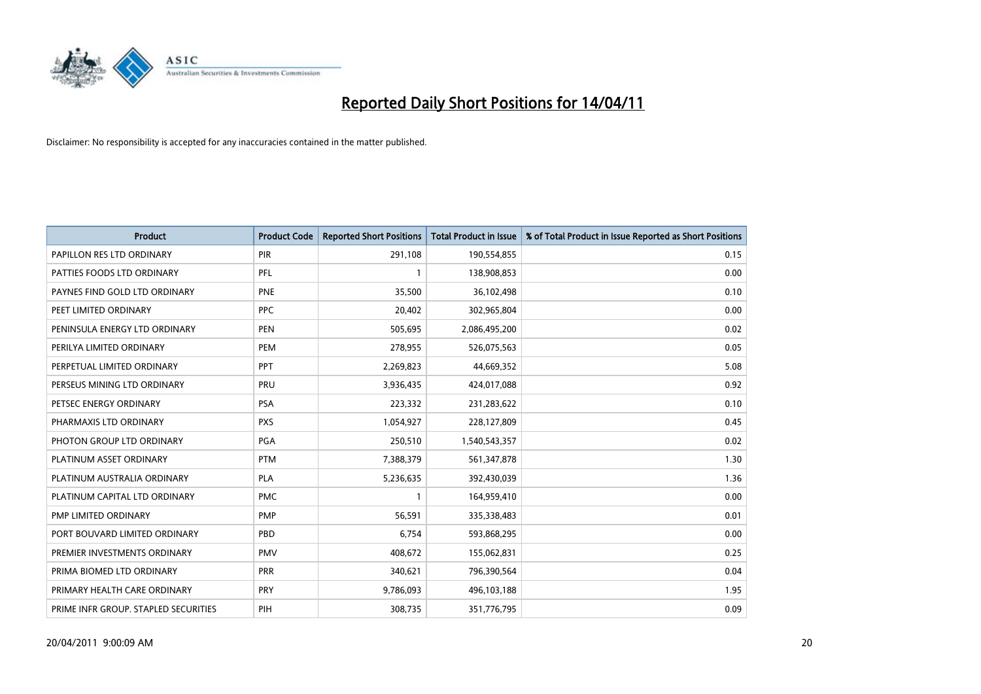

| Product                              | <b>Product Code</b> | <b>Reported Short Positions</b> | Total Product in Issue | % of Total Product in Issue Reported as Short Positions |
|--------------------------------------|---------------------|---------------------------------|------------------------|---------------------------------------------------------|
| PAPILLON RES LTD ORDINARY            | PIR                 | 291,108                         | 190,554,855            | 0.15                                                    |
| PATTIES FOODS LTD ORDINARY           | PFL                 |                                 | 138,908,853            | 0.00                                                    |
| PAYNES FIND GOLD LTD ORDINARY        | <b>PNE</b>          | 35,500                          | 36,102,498             | 0.10                                                    |
| PEET LIMITED ORDINARY                | PPC                 | 20,402                          | 302,965,804            | 0.00                                                    |
| PENINSULA ENERGY LTD ORDINARY        | <b>PEN</b>          | 505,695                         | 2,086,495,200          | 0.02                                                    |
| PERILYA LIMITED ORDINARY             | PEM                 | 278,955                         | 526,075,563            | 0.05                                                    |
| PERPETUAL LIMITED ORDINARY           | PPT                 | 2,269,823                       | 44,669,352             | 5.08                                                    |
| PERSEUS MINING LTD ORDINARY          | PRU                 | 3,936,435                       | 424,017,088            | 0.92                                                    |
| PETSEC ENERGY ORDINARY               | <b>PSA</b>          | 223,332                         | 231,283,622            | 0.10                                                    |
| PHARMAXIS LTD ORDINARY               | <b>PXS</b>          | 1,054,927                       | 228,127,809            | 0.45                                                    |
| PHOTON GROUP LTD ORDINARY            | <b>PGA</b>          | 250,510                         | 1,540,543,357          | 0.02                                                    |
| PLATINUM ASSET ORDINARY              | <b>PTM</b>          | 7,388,379                       | 561,347,878            | 1.30                                                    |
| PLATINUM AUSTRALIA ORDINARY          | <b>PLA</b>          | 5,236,635                       | 392,430,039            | 1.36                                                    |
| PLATINUM CAPITAL LTD ORDINARY        | <b>PMC</b>          |                                 | 164,959,410            | 0.00                                                    |
| PMP LIMITED ORDINARY                 | <b>PMP</b>          | 56,591                          | 335,338,483            | 0.01                                                    |
| PORT BOUVARD LIMITED ORDINARY        | PBD                 | 6,754                           | 593,868,295            | 0.00                                                    |
| PREMIER INVESTMENTS ORDINARY         | PMV                 | 408,672                         | 155,062,831            | 0.25                                                    |
| PRIMA BIOMED LTD ORDINARY            | <b>PRR</b>          | 340,621                         | 796,390,564            | 0.04                                                    |
| PRIMARY HEALTH CARE ORDINARY         | <b>PRY</b>          | 9,786,093                       | 496,103,188            | 1.95                                                    |
| PRIME INFR GROUP. STAPLED SECURITIES | PIH                 | 308,735                         | 351,776,795            | 0.09                                                    |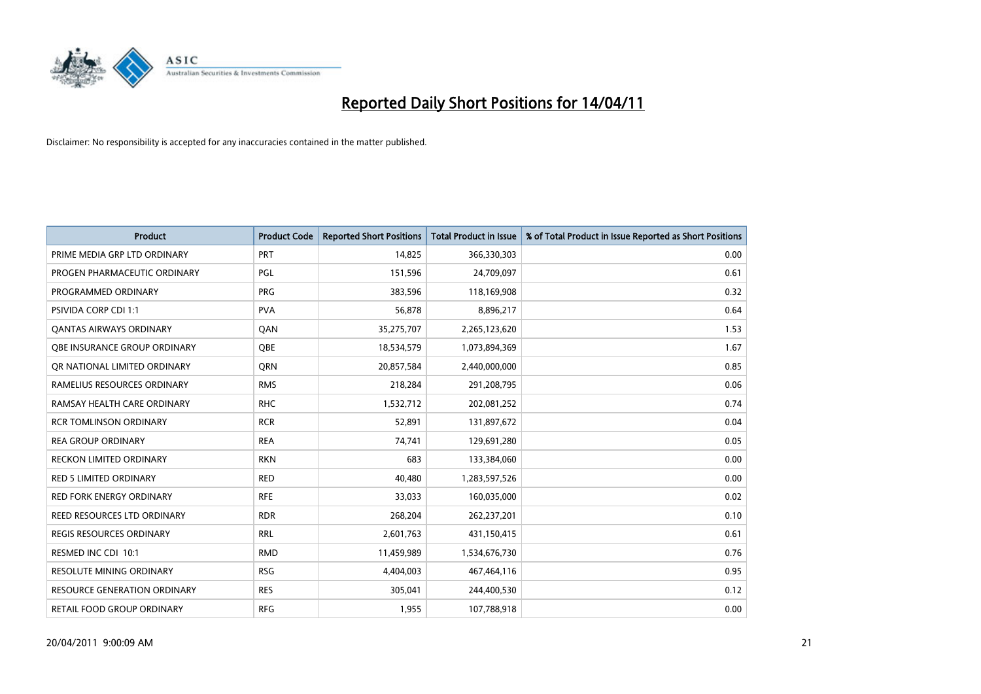

| <b>Product</b>                  | <b>Product Code</b> | <b>Reported Short Positions</b> | Total Product in Issue | % of Total Product in Issue Reported as Short Positions |
|---------------------------------|---------------------|---------------------------------|------------------------|---------------------------------------------------------|
| PRIME MEDIA GRP LTD ORDINARY    | PRT                 | 14,825                          | 366,330,303            | 0.00                                                    |
| PROGEN PHARMACEUTIC ORDINARY    | PGL                 | 151,596                         | 24,709,097             | 0.61                                                    |
| PROGRAMMED ORDINARY             | <b>PRG</b>          | 383,596                         | 118,169,908            | 0.32                                                    |
| PSIVIDA CORP CDI 1:1            | <b>PVA</b>          | 56,878                          | 8,896,217              | 0.64                                                    |
| <b>QANTAS AIRWAYS ORDINARY</b>  | QAN                 | 35,275,707                      | 2,265,123,620          | 1.53                                                    |
| OBE INSURANCE GROUP ORDINARY    | <b>OBE</b>          | 18,534,579                      | 1,073,894,369          | 1.67                                                    |
| OR NATIONAL LIMITED ORDINARY    | <b>ORN</b>          | 20,857,584                      | 2,440,000,000          | 0.85                                                    |
| RAMELIUS RESOURCES ORDINARY     | <b>RMS</b>          | 218,284                         | 291,208,795            | 0.06                                                    |
| RAMSAY HEALTH CARE ORDINARY     | <b>RHC</b>          | 1,532,712                       | 202,081,252            | 0.74                                                    |
| <b>RCR TOMLINSON ORDINARY</b>   | <b>RCR</b>          | 52,891                          | 131,897,672            | 0.04                                                    |
| <b>REA GROUP ORDINARY</b>       | <b>REA</b>          | 74,741                          | 129,691,280            | 0.05                                                    |
| <b>RECKON LIMITED ORDINARY</b>  | <b>RKN</b>          | 683                             | 133,384,060            | 0.00                                                    |
| RED 5 LIMITED ORDINARY          | <b>RED</b>          | 40,480                          | 1,283,597,526          | 0.00                                                    |
| <b>RED FORK ENERGY ORDINARY</b> | <b>RFE</b>          | 33,033                          | 160,035,000            | 0.02                                                    |
| REED RESOURCES LTD ORDINARY     | <b>RDR</b>          | 268,204                         | 262,237,201            | 0.10                                                    |
| REGIS RESOURCES ORDINARY        | <b>RRL</b>          | 2,601,763                       | 431,150,415            | 0.61                                                    |
| RESMED INC CDI 10:1             | <b>RMD</b>          | 11,459,989                      | 1,534,676,730          | 0.76                                                    |
| RESOLUTE MINING ORDINARY        | <b>RSG</b>          | 4,404,003                       | 467,464,116            | 0.95                                                    |
| RESOURCE GENERATION ORDINARY    | <b>RES</b>          | 305,041                         | 244,400,530            | 0.12                                                    |
| RETAIL FOOD GROUP ORDINARY      | <b>RFG</b>          | 1,955                           | 107,788,918            | 0.00                                                    |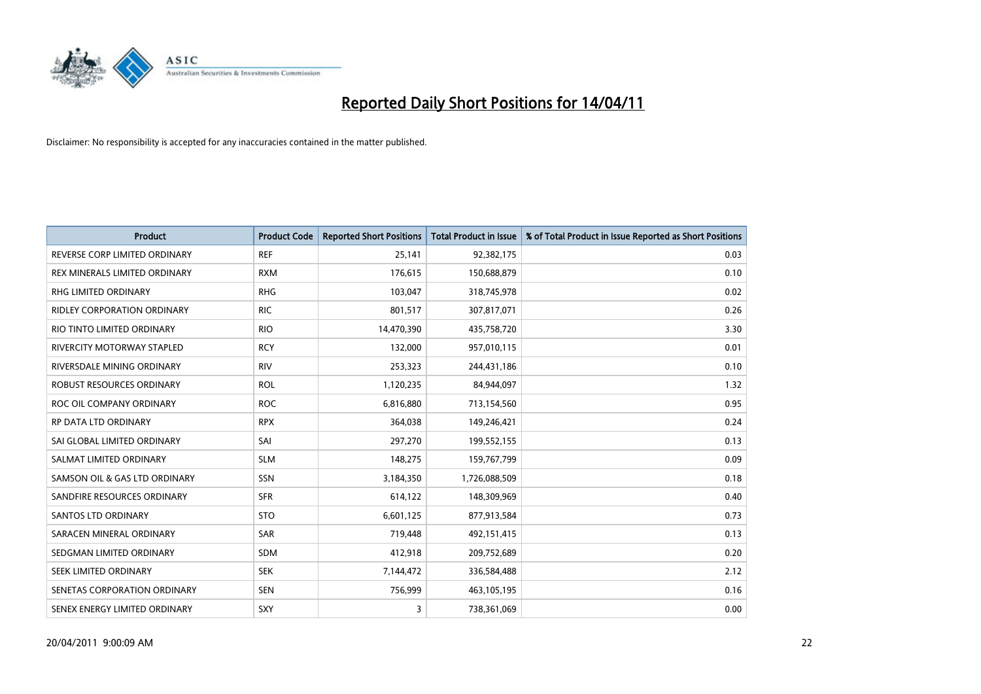

| <b>Product</b>                     | <b>Product Code</b> | <b>Reported Short Positions</b> | Total Product in Issue | % of Total Product in Issue Reported as Short Positions |
|------------------------------------|---------------------|---------------------------------|------------------------|---------------------------------------------------------|
| REVERSE CORP LIMITED ORDINARY      | <b>REF</b>          | 25,141                          | 92,382,175             | 0.03                                                    |
| REX MINERALS LIMITED ORDINARY      | <b>RXM</b>          | 176,615                         | 150,688,879            | 0.10                                                    |
| <b>RHG LIMITED ORDINARY</b>        | <b>RHG</b>          | 103,047                         | 318,745,978            | 0.02                                                    |
| <b>RIDLEY CORPORATION ORDINARY</b> | <b>RIC</b>          | 801,517                         | 307,817,071            | 0.26                                                    |
| RIO TINTO LIMITED ORDINARY         | <b>RIO</b>          | 14,470,390                      | 435,758,720            | 3.30                                                    |
| <b>RIVERCITY MOTORWAY STAPLED</b>  | <b>RCY</b>          | 132,000                         | 957,010,115            | 0.01                                                    |
| RIVERSDALE MINING ORDINARY         | <b>RIV</b>          | 253,323                         | 244,431,186            | 0.10                                                    |
| ROBUST RESOURCES ORDINARY          | <b>ROL</b>          | 1,120,235                       | 84,944,097             | 1.32                                                    |
| ROC OIL COMPANY ORDINARY           | <b>ROC</b>          | 6,816,880                       | 713,154,560            | 0.95                                                    |
| <b>RP DATA LTD ORDINARY</b>        | <b>RPX</b>          | 364,038                         | 149,246,421            | 0.24                                                    |
| SAI GLOBAL LIMITED ORDINARY        | SAI                 | 297,270                         | 199,552,155            | 0.13                                                    |
| SALMAT LIMITED ORDINARY            | <b>SLM</b>          | 148,275                         | 159,767,799            | 0.09                                                    |
| SAMSON OIL & GAS LTD ORDINARY      | <b>SSN</b>          | 3,184,350                       | 1,726,088,509          | 0.18                                                    |
| SANDFIRE RESOURCES ORDINARY        | <b>SFR</b>          | 614,122                         | 148,309,969            | 0.40                                                    |
| SANTOS LTD ORDINARY                | <b>STO</b>          | 6,601,125                       | 877,913,584            | 0.73                                                    |
| SARACEN MINERAL ORDINARY           | <b>SAR</b>          | 719,448                         | 492,151,415            | 0.13                                                    |
| SEDGMAN LIMITED ORDINARY           | <b>SDM</b>          | 412,918                         | 209,752,689            | 0.20                                                    |
| SEEK LIMITED ORDINARY              | <b>SEK</b>          | 7,144,472                       | 336,584,488            | 2.12                                                    |
| SENETAS CORPORATION ORDINARY       | <b>SEN</b>          | 756,999                         | 463,105,195            | 0.16                                                    |
| SENEX ENERGY LIMITED ORDINARY      | SXY                 | 3                               | 738,361,069            | 0.00                                                    |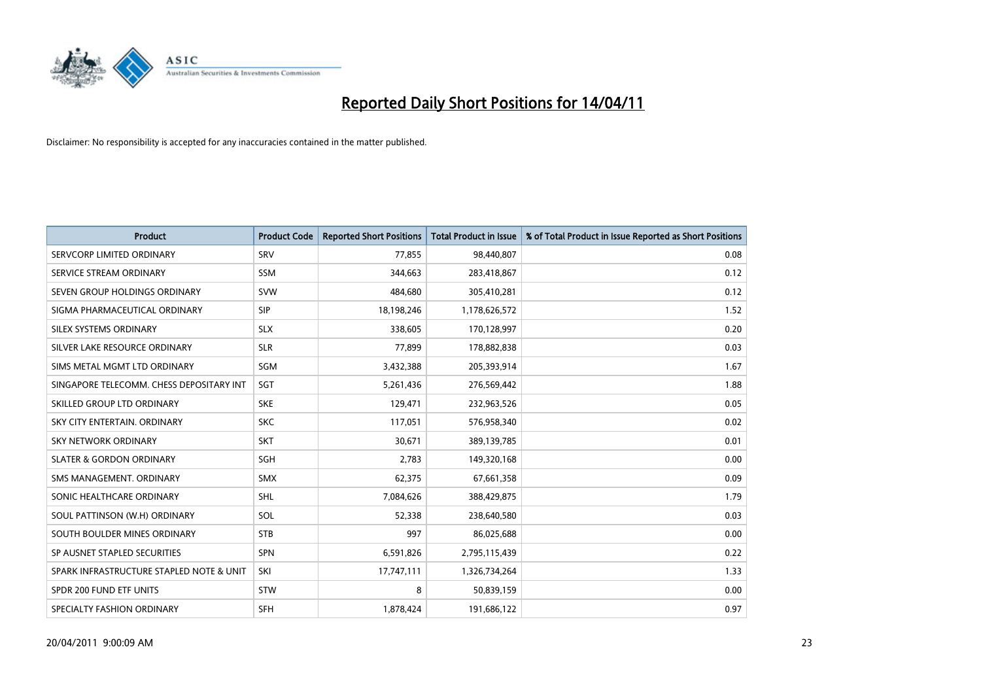

| <b>Product</b>                           | <b>Product Code</b> | <b>Reported Short Positions</b> | <b>Total Product in Issue</b> | % of Total Product in Issue Reported as Short Positions |
|------------------------------------------|---------------------|---------------------------------|-------------------------------|---------------------------------------------------------|
| SERVCORP LIMITED ORDINARY                | SRV                 | 77.855                          | 98,440,807                    | 0.08                                                    |
| SERVICE STREAM ORDINARY                  | <b>SSM</b>          | 344,663                         | 283,418,867                   | 0.12                                                    |
| SEVEN GROUP HOLDINGS ORDINARY            | <b>SVW</b>          | 484.680                         | 305,410,281                   | 0.12                                                    |
| SIGMA PHARMACEUTICAL ORDINARY            | <b>SIP</b>          | 18,198,246                      | 1,178,626,572                 | 1.52                                                    |
| SILEX SYSTEMS ORDINARY                   | <b>SLX</b>          | 338,605                         | 170,128,997                   | 0.20                                                    |
| SILVER LAKE RESOURCE ORDINARY            | <b>SLR</b>          | 77,899                          | 178,882,838                   | 0.03                                                    |
| SIMS METAL MGMT LTD ORDINARY             | <b>SGM</b>          | 3,432,388                       | 205,393,914                   | 1.67                                                    |
| SINGAPORE TELECOMM. CHESS DEPOSITARY INT | SGT                 | 5,261,436                       | 276,569,442                   | 1.88                                                    |
| SKILLED GROUP LTD ORDINARY               | <b>SKE</b>          | 129,471                         | 232,963,526                   | 0.05                                                    |
| SKY CITY ENTERTAIN, ORDINARY             | <b>SKC</b>          | 117,051                         | 576,958,340                   | 0.02                                                    |
| SKY NETWORK ORDINARY                     | <b>SKT</b>          | 30,671                          | 389,139,785                   | 0.01                                                    |
| <b>SLATER &amp; GORDON ORDINARY</b>      | <b>SGH</b>          | 2,783                           | 149,320,168                   | 0.00                                                    |
| SMS MANAGEMENT, ORDINARY                 | <b>SMX</b>          | 62,375                          | 67,661,358                    | 0.09                                                    |
| SONIC HEALTHCARE ORDINARY                | SHL                 | 7,084,626                       | 388,429,875                   | 1.79                                                    |
| SOUL PATTINSON (W.H) ORDINARY            | SOL                 | 52,338                          | 238,640,580                   | 0.03                                                    |
| SOUTH BOULDER MINES ORDINARY             | <b>STB</b>          | 997                             | 86,025,688                    | 0.00                                                    |
| SP AUSNET STAPLED SECURITIES             | <b>SPN</b>          | 6,591,826                       | 2,795,115,439                 | 0.22                                                    |
| SPARK INFRASTRUCTURE STAPLED NOTE & UNIT | SKI                 | 17,747,111                      | 1,326,734,264                 | 1.33                                                    |
| SPDR 200 FUND ETF UNITS                  | <b>STW</b>          | 8                               | 50,839,159                    | 0.00                                                    |
| SPECIALTY FASHION ORDINARY               | SFH                 | 1,878,424                       | 191,686,122                   | 0.97                                                    |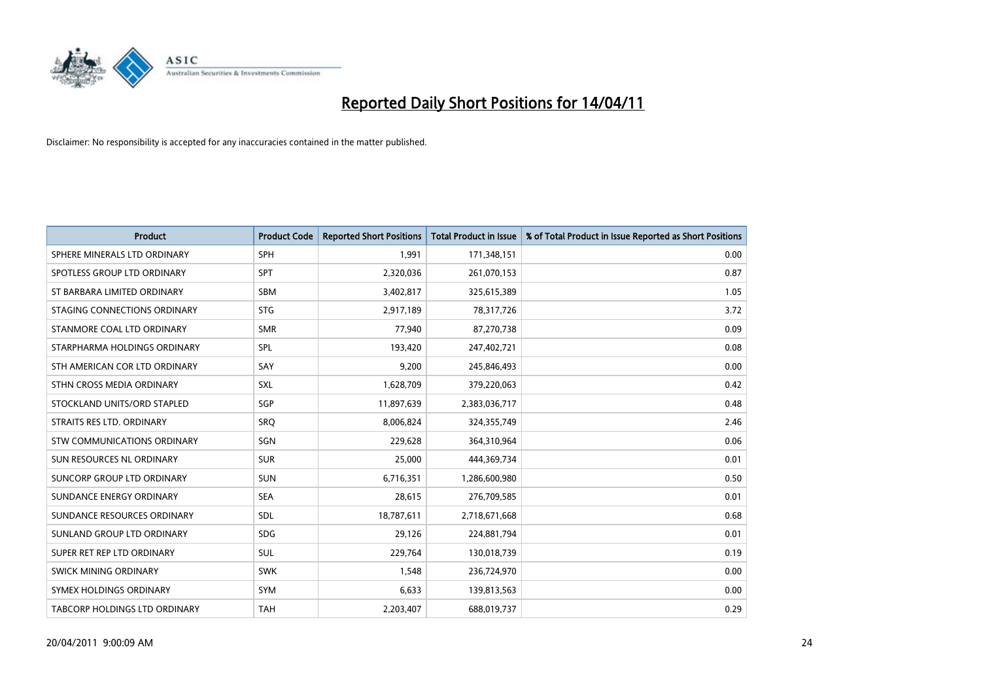

| <b>Product</b>                | <b>Product Code</b> | <b>Reported Short Positions</b> | <b>Total Product in Issue</b> | % of Total Product in Issue Reported as Short Positions |
|-------------------------------|---------------------|---------------------------------|-------------------------------|---------------------------------------------------------|
| SPHERE MINERALS LTD ORDINARY  | <b>SPH</b>          | 1.991                           | 171,348,151                   | 0.00                                                    |
| SPOTLESS GROUP LTD ORDINARY   | <b>SPT</b>          | 2,320,036                       | 261,070,153                   | 0.87                                                    |
| ST BARBARA LIMITED ORDINARY   | SBM                 | 3,402,817                       | 325,615,389                   | 1.05                                                    |
| STAGING CONNECTIONS ORDINARY  | <b>STG</b>          | 2,917,189                       | 78,317,726                    | 3.72                                                    |
| STANMORE COAL LTD ORDINARY    | <b>SMR</b>          | 77,940                          | 87,270,738                    | 0.09                                                    |
| STARPHARMA HOLDINGS ORDINARY  | SPL                 | 193,420                         | 247,402,721                   | 0.08                                                    |
| STH AMERICAN COR LTD ORDINARY | SAY                 | 9,200                           | 245,846,493                   | 0.00                                                    |
| STHN CROSS MEDIA ORDINARY     | <b>SXL</b>          | 1,628,709                       | 379,220,063                   | 0.42                                                    |
| STOCKLAND UNITS/ORD STAPLED   | <b>SGP</b>          | 11,897,639                      | 2,383,036,717                 | 0.48                                                    |
| STRAITS RES LTD. ORDINARY     | <b>SRQ</b>          | 8,006,824                       | 324,355,749                   | 2.46                                                    |
| STW COMMUNICATIONS ORDINARY   | SGN                 | 229,628                         | 364,310,964                   | 0.06                                                    |
| SUN RESOURCES NL ORDINARY     | <b>SUR</b>          | 25,000                          | 444,369,734                   | 0.01                                                    |
| SUNCORP GROUP LTD ORDINARY    | <b>SUN</b>          | 6,716,351                       | 1,286,600,980                 | 0.50                                                    |
| SUNDANCE ENERGY ORDINARY      | <b>SEA</b>          | 28,615                          | 276,709,585                   | 0.01                                                    |
| SUNDANCE RESOURCES ORDINARY   | <b>SDL</b>          | 18,787,611                      | 2,718,671,668                 | 0.68                                                    |
| SUNLAND GROUP LTD ORDINARY    | <b>SDG</b>          | 29,126                          | 224,881,794                   | 0.01                                                    |
| SUPER RET REP LTD ORDINARY    | SUL                 | 229,764                         | 130,018,739                   | 0.19                                                    |
| <b>SWICK MINING ORDINARY</b>  | <b>SWK</b>          | 1,548                           | 236,724,970                   | 0.00                                                    |
| SYMEX HOLDINGS ORDINARY       | <b>SYM</b>          | 6,633                           | 139,813,563                   | 0.00                                                    |
| TABCORP HOLDINGS LTD ORDINARY | <b>TAH</b>          | 2,203,407                       | 688,019,737                   | 0.29                                                    |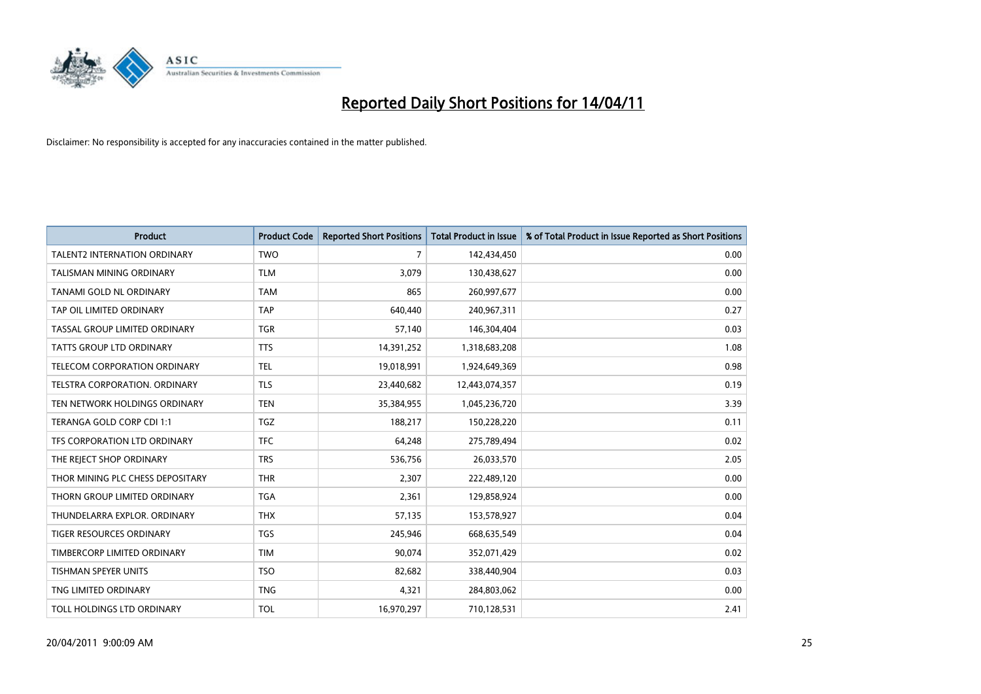

| <b>Product</b>                      | <b>Product Code</b> | <b>Reported Short Positions</b> | <b>Total Product in Issue</b> | % of Total Product in Issue Reported as Short Positions |
|-------------------------------------|---------------------|---------------------------------|-------------------------------|---------------------------------------------------------|
| <b>TALENT2 INTERNATION ORDINARY</b> | <b>TWO</b>          | $\overline{7}$                  | 142,434,450                   | 0.00                                                    |
| TALISMAN MINING ORDINARY            | <b>TLM</b>          | 3,079                           | 130,438,627                   | 0.00                                                    |
| TANAMI GOLD NL ORDINARY             | <b>TAM</b>          | 865                             | 260,997,677                   | 0.00                                                    |
| TAP OIL LIMITED ORDINARY            | <b>TAP</b>          | 640,440                         | 240,967,311                   | 0.27                                                    |
| TASSAL GROUP LIMITED ORDINARY       | <b>TGR</b>          | 57,140                          | 146,304,404                   | 0.03                                                    |
| TATTS GROUP LTD ORDINARY            | <b>TTS</b>          | 14,391,252                      | 1,318,683,208                 | 1.08                                                    |
| TELECOM CORPORATION ORDINARY        | <b>TEL</b>          | 19,018,991                      | 1,924,649,369                 | 0.98                                                    |
| TELSTRA CORPORATION, ORDINARY       | <b>TLS</b>          | 23,440,682                      | 12,443,074,357                | 0.19                                                    |
| TEN NETWORK HOLDINGS ORDINARY       | <b>TEN</b>          | 35,384,955                      | 1,045,236,720                 | 3.39                                                    |
| TERANGA GOLD CORP CDI 1:1           | <b>TGZ</b>          | 188,217                         | 150,228,220                   | 0.11                                                    |
| TFS CORPORATION LTD ORDINARY        | <b>TFC</b>          | 64.248                          | 275,789,494                   | 0.02                                                    |
| THE REJECT SHOP ORDINARY            | <b>TRS</b>          | 536,756                         | 26,033,570                    | 2.05                                                    |
| THOR MINING PLC CHESS DEPOSITARY    | <b>THR</b>          | 2,307                           | 222,489,120                   | 0.00                                                    |
| THORN GROUP LIMITED ORDINARY        | <b>TGA</b>          | 2,361                           | 129,858,924                   | 0.00                                                    |
| THUNDELARRA EXPLOR, ORDINARY        | <b>THX</b>          | 57,135                          | 153,578,927                   | 0.04                                                    |
| TIGER RESOURCES ORDINARY            | <b>TGS</b>          | 245,946                         | 668,635,549                   | 0.04                                                    |
| TIMBERCORP LIMITED ORDINARY         | <b>TIM</b>          | 90,074                          | 352,071,429                   | 0.02                                                    |
| TISHMAN SPEYER UNITS                | <b>TSO</b>          | 82,682                          | 338,440,904                   | 0.03                                                    |
| TNG LIMITED ORDINARY                | <b>TNG</b>          | 4,321                           | 284,803,062                   | 0.00                                                    |
| TOLL HOLDINGS LTD ORDINARY          | <b>TOL</b>          | 16,970,297                      | 710,128,531                   | 2.41                                                    |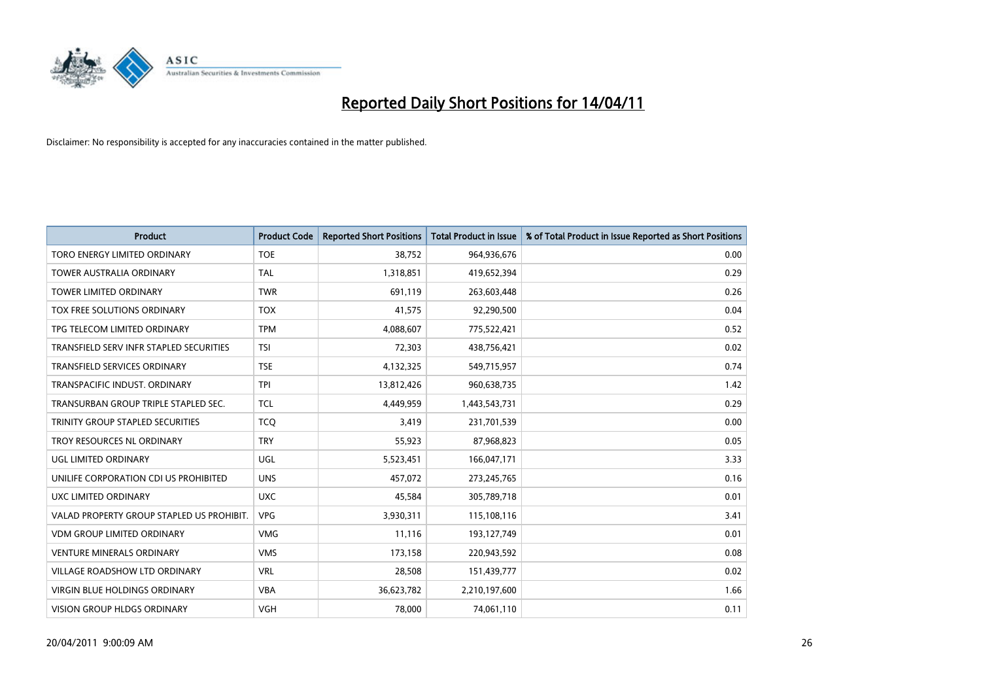

| <b>Product</b>                            | <b>Product Code</b> | <b>Reported Short Positions</b> | <b>Total Product in Issue</b> | % of Total Product in Issue Reported as Short Positions |
|-------------------------------------------|---------------------|---------------------------------|-------------------------------|---------------------------------------------------------|
| TORO ENERGY LIMITED ORDINARY              | <b>TOE</b>          | 38,752                          | 964,936,676                   | 0.00                                                    |
| <b>TOWER AUSTRALIA ORDINARY</b>           | <b>TAL</b>          | 1,318,851                       | 419,652,394                   | 0.29                                                    |
| <b>TOWER LIMITED ORDINARY</b>             | <b>TWR</b>          | 691,119                         | 263,603,448                   | 0.26                                                    |
| TOX FREE SOLUTIONS ORDINARY               | <b>TOX</b>          | 41,575                          | 92,290,500                    | 0.04                                                    |
| TPG TELECOM LIMITED ORDINARY              | <b>TPM</b>          | 4,088,607                       | 775,522,421                   | 0.52                                                    |
| TRANSFIELD SERV INFR STAPLED SECURITIES   | <b>TSI</b>          | 72,303                          | 438,756,421                   | 0.02                                                    |
| <b>TRANSFIELD SERVICES ORDINARY</b>       | <b>TSE</b>          | 4,132,325                       | 549,715,957                   | 0.74                                                    |
| TRANSPACIFIC INDUST. ORDINARY             | <b>TPI</b>          | 13,812,426                      | 960,638,735                   | 1.42                                                    |
| TRANSURBAN GROUP TRIPLE STAPLED SEC.      | <b>TCL</b>          | 4,449,959                       | 1,443,543,731                 | 0.29                                                    |
| TRINITY GROUP STAPLED SECURITIES          | <b>TCO</b>          | 3,419                           | 231,701,539                   | 0.00                                                    |
| TROY RESOURCES NL ORDINARY                | <b>TRY</b>          | 55,923                          | 87,968,823                    | 0.05                                                    |
| <b>UGL LIMITED ORDINARY</b>               | UGL                 | 5,523,451                       | 166,047,171                   | 3.33                                                    |
| UNILIFE CORPORATION CDI US PROHIBITED     | <b>UNS</b>          | 457,072                         | 273,245,765                   | 0.16                                                    |
| UXC LIMITED ORDINARY                      | <b>UXC</b>          | 45,584                          | 305,789,718                   | 0.01                                                    |
| VALAD PROPERTY GROUP STAPLED US PROHIBIT. | <b>VPG</b>          | 3,930,311                       | 115,108,116                   | 3.41                                                    |
| <b>VDM GROUP LIMITED ORDINARY</b>         | <b>VMG</b>          | 11,116                          | 193,127,749                   | 0.01                                                    |
| <b>VENTURE MINERALS ORDINARY</b>          | <b>VMS</b>          | 173,158                         | 220,943,592                   | 0.08                                                    |
| VILLAGE ROADSHOW LTD ORDINARY             | <b>VRL</b>          | 28,508                          | 151,439,777                   | 0.02                                                    |
| <b>VIRGIN BLUE HOLDINGS ORDINARY</b>      | <b>VBA</b>          | 36,623,782                      | 2,210,197,600                 | 1.66                                                    |
| VISION GROUP HLDGS ORDINARY               | <b>VGH</b>          | 78,000                          | 74,061,110                    | 0.11                                                    |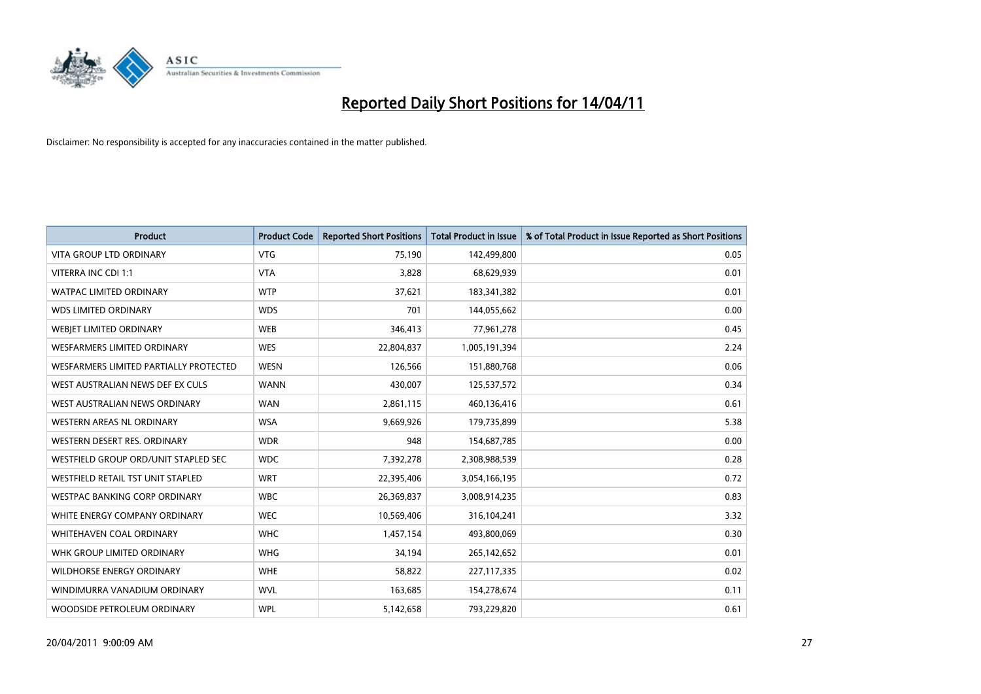

| <b>Product</b>                         | <b>Product Code</b> | <b>Reported Short Positions</b> | <b>Total Product in Issue</b> | % of Total Product in Issue Reported as Short Positions |
|----------------------------------------|---------------------|---------------------------------|-------------------------------|---------------------------------------------------------|
| <b>VITA GROUP LTD ORDINARY</b>         | <b>VTG</b>          | 75,190                          | 142,499,800                   | 0.05                                                    |
| VITERRA INC CDI 1:1                    | <b>VTA</b>          | 3,828                           | 68,629,939                    | 0.01                                                    |
| <b>WATPAC LIMITED ORDINARY</b>         | <b>WTP</b>          | 37,621                          | 183,341,382                   | 0.01                                                    |
| <b>WDS LIMITED ORDINARY</b>            | <b>WDS</b>          | 701                             | 144,055,662                   | 0.00                                                    |
| WEBIET LIMITED ORDINARY                | <b>WEB</b>          | 346,413                         | 77,961,278                    | 0.45                                                    |
| <b>WESFARMERS LIMITED ORDINARY</b>     | <b>WES</b>          | 22,804,837                      | 1,005,191,394                 | 2.24                                                    |
| WESFARMERS LIMITED PARTIALLY PROTECTED | <b>WESN</b>         | 126,566                         | 151,880,768                   | 0.06                                                    |
| WEST AUSTRALIAN NEWS DEF EX CULS       | <b>WANN</b>         | 430,007                         | 125,537,572                   | 0.34                                                    |
| WEST AUSTRALIAN NEWS ORDINARY          | <b>WAN</b>          | 2,861,115                       | 460,136,416                   | 0.61                                                    |
| WESTERN AREAS NL ORDINARY              | <b>WSA</b>          | 9,669,926                       | 179,735,899                   | 5.38                                                    |
| WESTERN DESERT RES. ORDINARY           | <b>WDR</b>          | 948                             | 154,687,785                   | 0.00                                                    |
| WESTFIELD GROUP ORD/UNIT STAPLED SEC   | <b>WDC</b>          | 7,392,278                       | 2,308,988,539                 | 0.28                                                    |
| WESTFIELD RETAIL TST UNIT STAPLED      | <b>WRT</b>          | 22,395,406                      | 3,054,166,195                 | 0.72                                                    |
| <b>WESTPAC BANKING CORP ORDINARY</b>   | <b>WBC</b>          | 26,369,837                      | 3,008,914,235                 | 0.83                                                    |
| WHITE ENERGY COMPANY ORDINARY          | <b>WEC</b>          | 10,569,406                      | 316,104,241                   | 3.32                                                    |
| WHITEHAVEN COAL ORDINARY               | <b>WHC</b>          | 1,457,154                       | 493,800,069                   | 0.30                                                    |
| WHK GROUP LIMITED ORDINARY             | <b>WHG</b>          | 34,194                          | 265,142,652                   | 0.01                                                    |
| WILDHORSE ENERGY ORDINARY              | <b>WHE</b>          | 58,822                          | 227,117,335                   | 0.02                                                    |
| WINDIMURRA VANADIUM ORDINARY           | <b>WVL</b>          | 163,685                         | 154,278,674                   | 0.11                                                    |
| WOODSIDE PETROLEUM ORDINARY            | <b>WPL</b>          | 5,142,658                       | 793,229,820                   | 0.61                                                    |